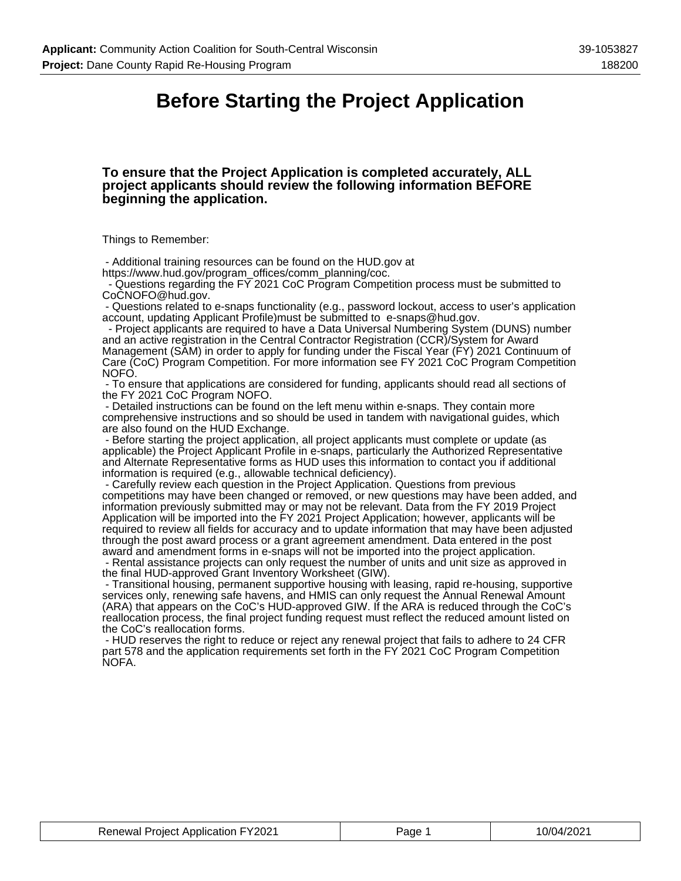## **Before Starting the Project Application**

### **To ensure that the Project Application is completed accurately, ALL project applicants should review the following information BEFORE beginning the application.**

Things to Remember:

 - Additional training resources can be found on the HUD.gov at https://www.hud.gov/program\_offices/comm\_planning/coc.

 - Questions regarding the FY 2021 CoC Program Competition process must be submitted to CoCNOFO@hud.gov.

 - Questions related to e-snaps functionality (e.g., password lockout, access to user's application account, updating Applicant Profile)must be submitted to e-snaps@hud.gov.

 - Project applicants are required to have a Data Universal Numbering System (DUNS) number and an active registration in the Central Contractor Registration (CCR)/System for Award Management (SAM) in order to apply for funding under the Fiscal Year (FY) 2021 Continuum of Care (CoC) Program Competition. For more information see FY 2021 CoC Program Competition NOFO.

 - To ensure that applications are considered for funding, applicants should read all sections of the FY 2021 CoC Program NOFO.

 - Detailed instructions can be found on the left menu within e-snaps. They contain more comprehensive instructions and so should be used in tandem with navigational guides, which are also found on the HUD Exchange.

 - Before starting the project application, all project applicants must complete or update (as applicable) the Project Applicant Profile in e-snaps, particularly the Authorized Representative and Alternate Representative forms as HUD uses this information to contact you if additional information is required (e.g., allowable technical deficiency).

 - Carefully review each question in the Project Application. Questions from previous competitions may have been changed or removed, or new questions may have been added, and information previously submitted may or may not be relevant. Data from the FY 2019 Project Application will be imported into the FY 2021 Project Application; however, applicants will be required to review all fields for accuracy and to update information that may have been adjusted through the post award process or a grant agreement amendment. Data entered in the post award and amendment forms in e-snaps will not be imported into the project application.

 - Rental assistance projects can only request the number of units and unit size as approved in the final HUD-approved Grant Inventory Worksheet (GIW).

 - Transitional housing, permanent supportive housing with leasing, rapid re-housing, supportive services only, renewing safe havens, and HMIS can only request the Annual Renewal Amount (ARA) that appears on the CoC's HUD-approved GIW. If the ARA is reduced through the CoC's reallocation process, the final project funding request must reflect the reduced amount listed on the CoC's reallocation forms.

 - HUD reserves the right to reduce or reject any renewal project that fails to adhere to 24 CFR part 578 and the application requirements set forth in the FY 2021 CoC Program Competition NOFA.

| <b>Renewal Project Application FY2021</b> | Page | 10/04/2021 |
|-------------------------------------------|------|------------|
|-------------------------------------------|------|------------|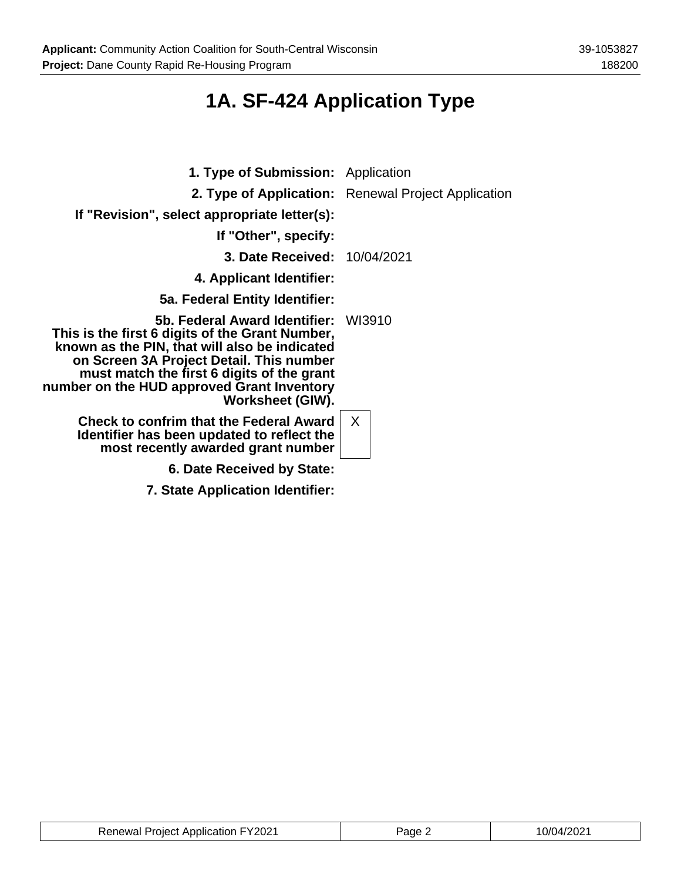# **1A. SF-424 Application Type**

| <b>1. Type of Submission:</b> Application                                                                                                                                                                                                                                                                   |                                                     |
|-------------------------------------------------------------------------------------------------------------------------------------------------------------------------------------------------------------------------------------------------------------------------------------------------------------|-----------------------------------------------------|
|                                                                                                                                                                                                                                                                                                             | 2. Type of Application: Renewal Project Application |
| If "Revision", select appropriate letter(s):                                                                                                                                                                                                                                                                |                                                     |
| If "Other", specify:                                                                                                                                                                                                                                                                                        |                                                     |
| <b>3. Date Received: 10/04/2021</b>                                                                                                                                                                                                                                                                         |                                                     |
| 4. Applicant Identifier:                                                                                                                                                                                                                                                                                    |                                                     |
| 5a. Federal Entity Identifier:                                                                                                                                                                                                                                                                              |                                                     |
| <b>5b. Federal Award Identifier: WI3910</b><br>This is the first 6 digits of the Grant Number,<br>known as the PIN, that will also be indicated<br>on Screen 3A Project Detail. This number<br>must match the first 6 digits of the grant<br>number on the HUD approved Grant Inventory<br>Worksheet (GIW). |                                                     |
| <b>Check to confrim that the Federal Award</b><br>Identifier has been updated to reflect the<br>most recently awarded grant number                                                                                                                                                                          | $\mathsf{X}$                                        |
| 6. Date Received by State:                                                                                                                                                                                                                                                                                  |                                                     |
| 7. State Application Identifier:                                                                                                                                                                                                                                                                            |                                                     |

| <b>Renewal Project Application FY2021</b> | Page 2 | 10/04/2021 |
|-------------------------------------------|--------|------------|
|-------------------------------------------|--------|------------|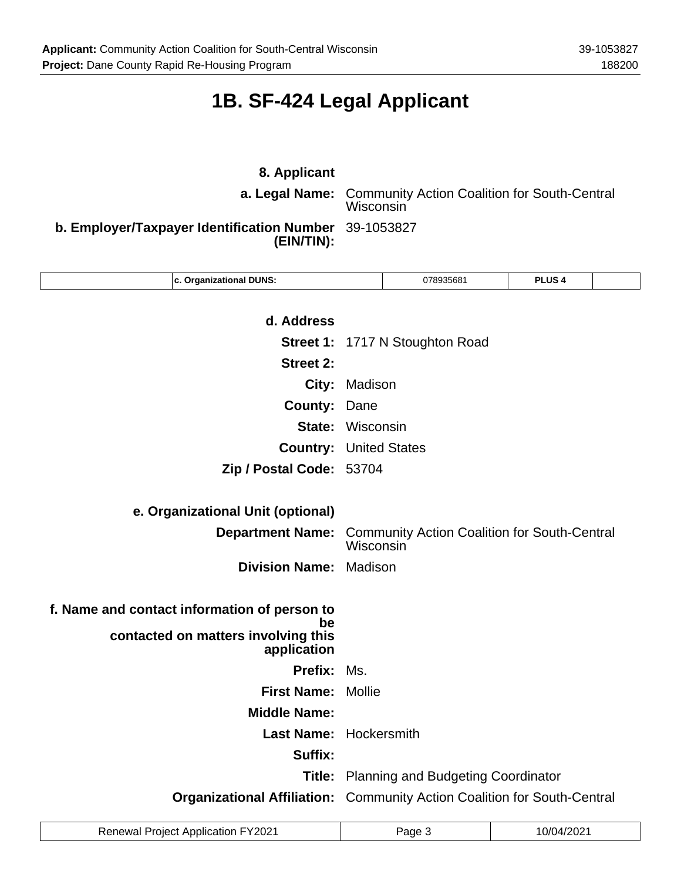# **1B. SF-424 Legal Applicant**

| 8. Applicant<br>a. Legal Name:                                                  | Wisconsin  | <b>Community Action Coalition for South-Central</b> |                   |  |
|---------------------------------------------------------------------------------|------------|-----------------------------------------------------|-------------------|--|
| b. Employer/Taxpayer Identification Number<br>(EIN/TIN):                        | 39-1053827 |                                                     |                   |  |
| c. Organizational DUNS:                                                         |            | 078935681                                           | PLUS <sub>4</sub> |  |
| d. Address                                                                      |            |                                                     |                   |  |
| Street 1:                                                                       |            | 1717 N Stoughton Road                               |                   |  |
| <b>Street 2:</b>                                                                |            |                                                     |                   |  |
| City:                                                                           | Madison    |                                                     |                   |  |
| <b>County:</b>                                                                  | Dane       |                                                     |                   |  |
| <b>State: Wisconsin</b>                                                         |            |                                                     |                   |  |
| <b>Country: United States</b>                                                   |            |                                                     |                   |  |
| Zip / Postal Code: 53704                                                        |            |                                                     |                   |  |
|                                                                                 |            |                                                     |                   |  |
| e. Organizational Unit (optional)<br><b>Department Name:</b>                    |            | <b>Community Action Coalition for South-Central</b> |                   |  |
|                                                                                 | Wisconsin  |                                                     |                   |  |
| <b>Division Name: Madison</b>                                                   |            |                                                     |                   |  |
|                                                                                 |            |                                                     |                   |  |
| f. Name and contact information of person to<br>be                              |            |                                                     |                   |  |
| contacted on matters involving this<br>application                              |            |                                                     |                   |  |
| <b>Prefix: Ms.</b>                                                              |            |                                                     |                   |  |
| <b>First Name: Mollie</b>                                                       |            |                                                     |                   |  |
| <b>Middle Name:</b>                                                             |            |                                                     |                   |  |
| Last Name: Hockersmith                                                          |            |                                                     |                   |  |
| Suffix:                                                                         |            |                                                     |                   |  |
|                                                                                 |            | <b>Title:</b> Planning and Budgeting Coordinator    |                   |  |
| <b>Organizational Affiliation:</b> Community Action Coalition for South-Central |            |                                                     |                   |  |

| <b>Renewal Project Application FY2021</b> | Page J | 10/04/2021 |
|-------------------------------------------|--------|------------|
|-------------------------------------------|--------|------------|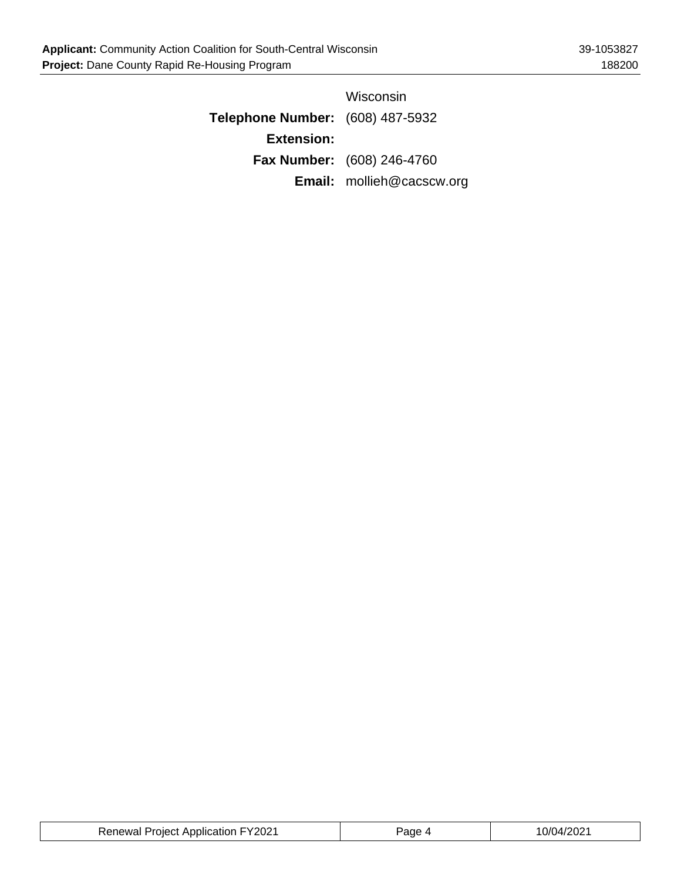|                                         | Wisconsin                         |
|-----------------------------------------|-----------------------------------|
| <b>Telephone Number:</b> (608) 487-5932 |                                   |
| <b>Extension:</b>                       |                                   |
|                                         | <b>Fax Number:</b> (608) 246-4760 |
|                                         | <b>Email:</b> mollieh@cacscw.org  |

| <b>Renewal Project Application FY2021</b> | Page | 10/04/2021 |
|-------------------------------------------|------|------------|
|-------------------------------------------|------|------------|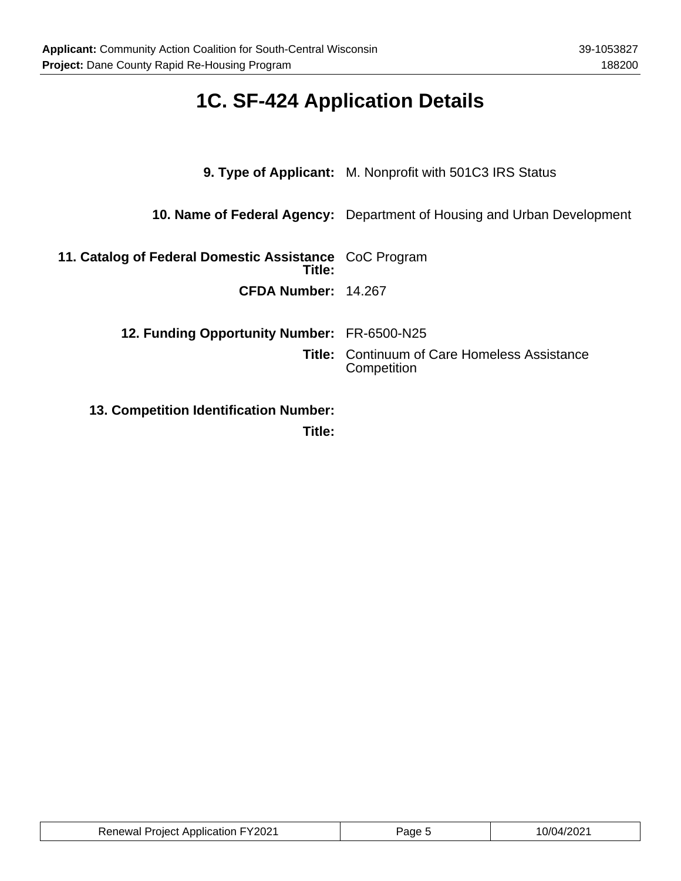# **1C. SF-424 Application Details**

| <b>9. Type of Applicant:</b> M. Nonprofit with 501C3 IRS Status         |
|-------------------------------------------------------------------------|
| 10. Name of Federal Agency: Department of Housing and Urban Development |
| 11. Catalog of Federal Domestic Assistance CoC Program                  |
| CFDA Number: 14.267                                                     |
| <b>12. Funding Opportunity Number: FR-6500-N25</b>                      |
| <b>Title: Continuum of Care Homeless Assistance</b><br>Competition      |
|                                                                         |
| Title:<br><b>13. Competition Identification Number:</b>                 |

**Title:**

| <b>Coulon FY2021</b><br><b>Project Application</b><br>Renewal | ane | $\mathbf{A}$<br>. |
|---------------------------------------------------------------|-----|-------------------|
|---------------------------------------------------------------|-----|-------------------|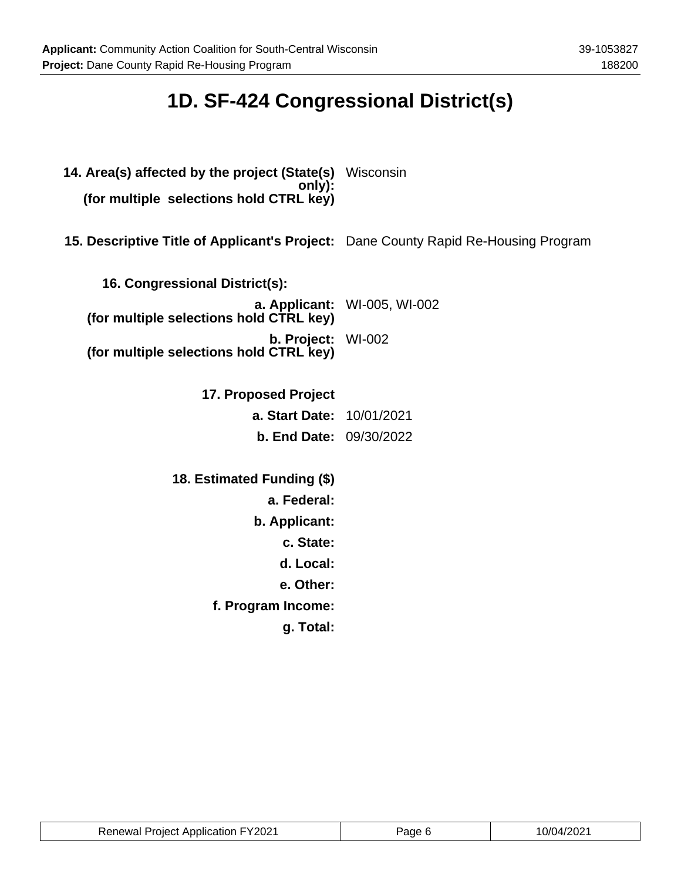# **1D. SF-424 Congressional District(s)**

**14. Area(s) affected by the project (State(s)** Wisconsin **only): (for multiple selections hold CTRL key) 15. Descriptive Title of Applicant's Project:** Dane County Rapid Re-Housing Program **16. Congressional District(s): a. Applicant:** WI-005, WI-002 **(for multiple selections hold CTRL key) b. Project: (for multiple selections hold CTRL key)** WI-002 **17. Proposed Project a. Start Date:** 10/01/2021 **b. End Date:** 09/30/2022 **18. Estimated Funding (\$) a. Federal: b. Applicant: c. State: d. Local: e. Other: f. Program Income: g. Total:**

| <b>Renewal Project Application FY2021</b> | Page 6 | 10/04/2021 |
|-------------------------------------------|--------|------------|
|-------------------------------------------|--------|------------|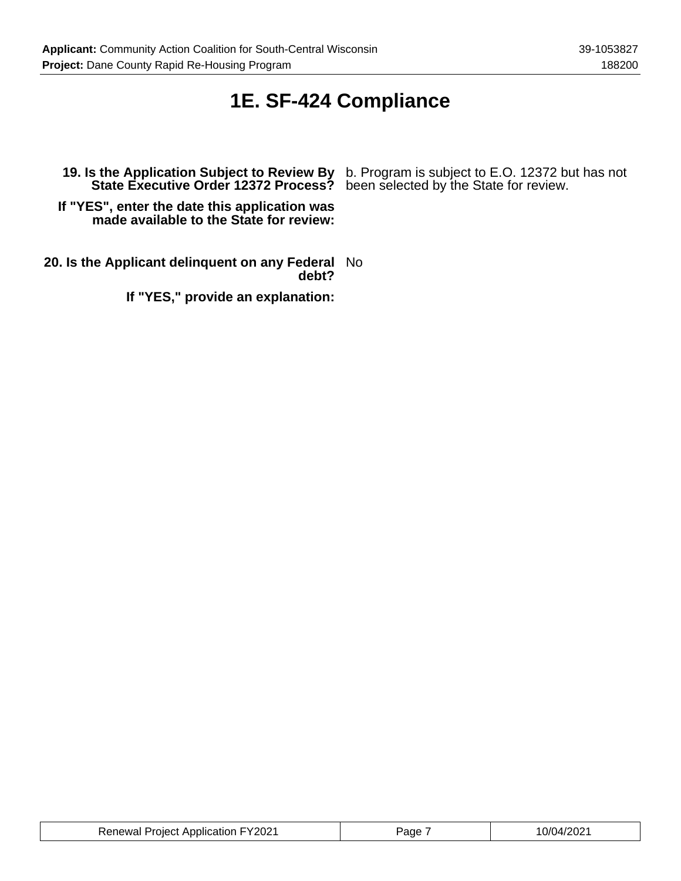# **1E. SF-424 Compliance**

**19. Is the Application Subject to Review By** b. Program is subject to E.O. 12372 but has not

**State Executive Order 12372 Process?** been selected by the State for review.

**If "YES", enter the date this application was made available to the State for review:**

**20. Is the Applicant delinquent on any Federal** No **debt?**

**If "YES," provide an explanation:**

| <b>Renewal Project Application FY2021</b> | Page | 10/04/2021 |
|-------------------------------------------|------|------------|
|-------------------------------------------|------|------------|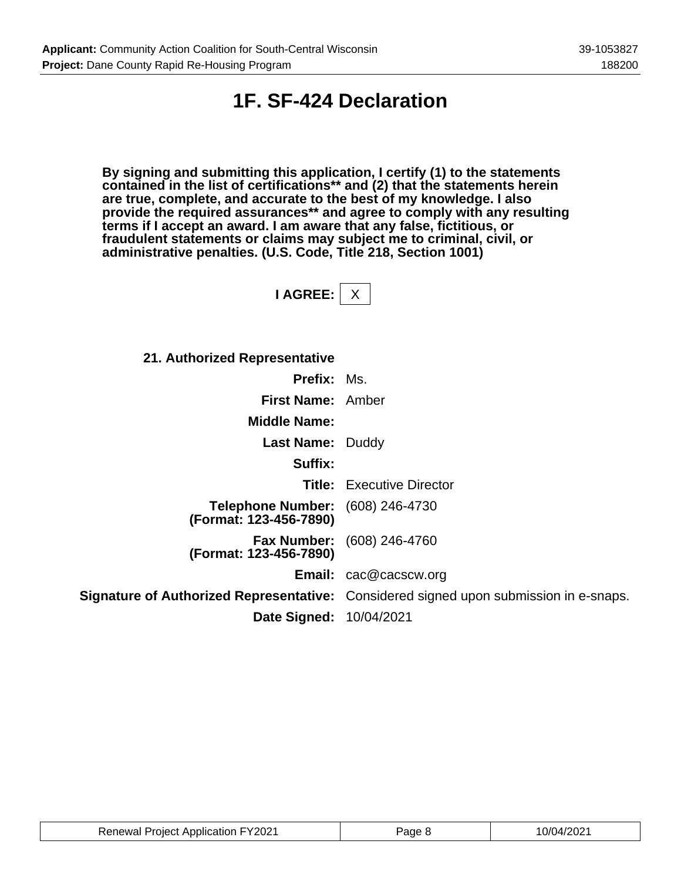## **1F. SF-424 Declaration**

**By signing and submitting this application, I certify (1) to the statements contained in the list of certifications\*\* and (2) that the statements herein are true, complete, and accurate to the best of my knowledge. I also provide the required assurances\*\* and agree to comply with any resulting terms if I accept an award. I am aware that any false, fictitious, or fraudulent statements or claims may subject me to criminal, civil, or administrative penalties. (U.S. Code, Title 218, Section 1001)**

**I AGREE:** X

**21. Authorized Representative**

| <b>Prefix: Ms.</b>                                                |                                                                                              |
|-------------------------------------------------------------------|----------------------------------------------------------------------------------------------|
| First Name: Amber                                                 |                                                                                              |
| <b>Middle Name:</b>                                               |                                                                                              |
| <b>Last Name: Duddy</b>                                           |                                                                                              |
| Suffix:                                                           |                                                                                              |
|                                                                   | <b>Title:</b> Executive Director                                                             |
| <b>Telephone Number:</b> (608) 246-4730<br>(Format: 123-456-7890) |                                                                                              |
| (Format: 123-456-7890)                                            | <b>Fax Number:</b> (608) 246-4760                                                            |
|                                                                   | <b>Email:</b> cac@cacscw.org                                                                 |
|                                                                   | <b>Signature of Authorized Representative:</b> Considered signed upon submission in e-snaps. |
| <b>Date Signed: 10/04/2021</b>                                    |                                                                                              |

| <b>Renewal Project Application FY2021</b> | Page P | 10/04/2021 |
|-------------------------------------------|--------|------------|
|-------------------------------------------|--------|------------|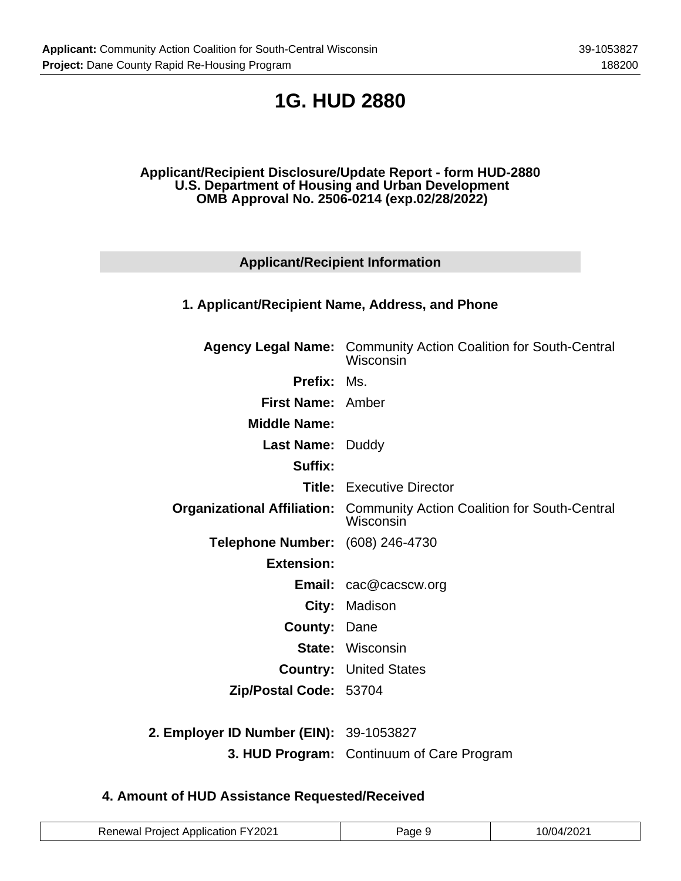# **1G. HUD 2880**

### **Applicant/Recipient Disclosure/Update Report - form HUD-2880 U.S. Department of Housing and Urban Development OMB Approval No. 2506-0214 (exp.02/28/2022)**

## **Applicant/Recipient Information**

## **1. Applicant/Recipient Name, Address, and Phone**

|                                         | <b>Agency Legal Name:</b> Community Action Coalition for South-Central<br>Wisconsin          |
|-----------------------------------------|----------------------------------------------------------------------------------------------|
| <b>Prefix: Ms.</b>                      |                                                                                              |
| First Name: Amber                       |                                                                                              |
| <b>Middle Name:</b>                     |                                                                                              |
| <b>Last Name: Duddy</b>                 |                                                                                              |
| Suffix:                                 |                                                                                              |
|                                         | <b>Title:</b> Executive Director                                                             |
|                                         | <b>Organizational Affiliation:</b> Community Action Coalition for South-Central<br>Wisconsin |
| Telephone Number: (608) 246-4730        |                                                                                              |
| <b>Extension:</b>                       |                                                                                              |
|                                         | <b>Email:</b> cac@cacscw.org                                                                 |
|                                         | <b>City: Madison</b>                                                                         |
| <b>County: Dane</b>                     |                                                                                              |
|                                         | <b>State: Wisconsin</b>                                                                      |
|                                         | <b>Country: United States</b>                                                                |
| Zip/Postal Code: 53704                  |                                                                                              |
| 2. Employer ID Number (EIN): 39-1053827 |                                                                                              |

**3. HUD Program:** Continuum of Care Program

## **4. Amount of HUD Assistance Requested/Received**

| <b>Renewal Project Application FY2021</b> | Page | 10/04/2021 |
|-------------------------------------------|------|------------|
|-------------------------------------------|------|------------|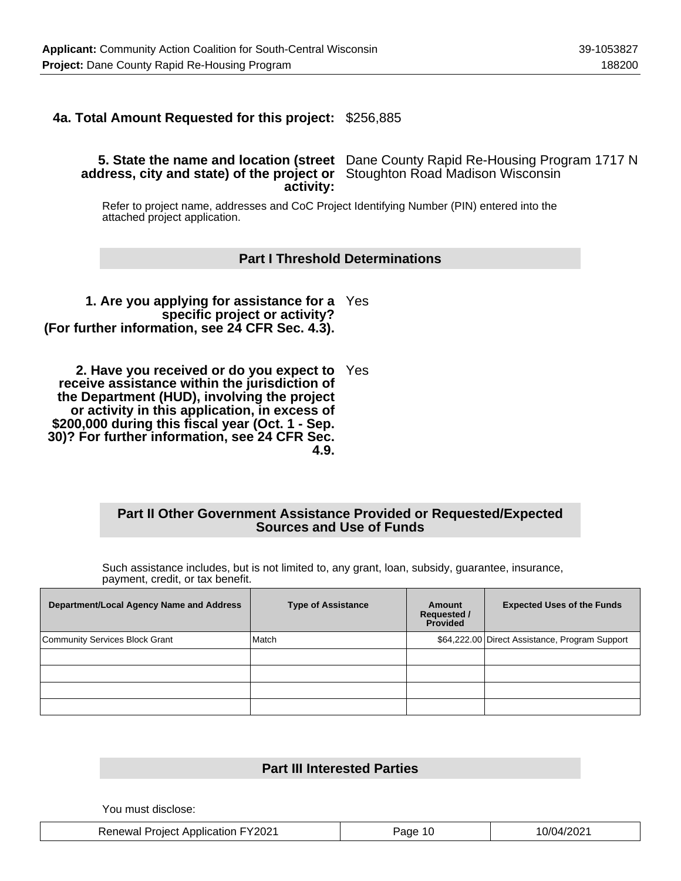### **4a. Total Amount Requested for this project:** \$256,885

### **5. State the name and location (street** Dane County Rapid Re-Housing Program 1717 N **address, city and state) of the project or** Stoughton Road Madison Wisconsin **activity:**

Refer to project name, addresses and CoC Project Identifying Number (PIN) entered into the attached project application.

### **Part I Threshold Determinations**

**1. Are you applying for assistance for a** Yes **specific project or activity? (For further information, see 24 CFR Sec. 4.3).**

**2. Have you received or do you expect to** Yes **receive assistance within the jurisdiction of the Department (HUD), involving the project or activity in this application, in excess of \$200,000 during this fiscal year (Oct. 1 - Sep. 30)? For further information, see 24 CFR Sec. 4.9.**

### **Part II Other Government Assistance Provided or Requested/Expected Sources and Use of Funds**

Such assistance includes, but is not limited to, any grant, loan, subsidy, guarantee, insurance, payment, credit, or tax benefit.

| Department/Local Agency Name and Address | <b>Type of Assistance</b> | <b>Amount</b><br><b>Requested /<br/>Provided</b> | <b>Expected Uses of the Funds</b>              |
|------------------------------------------|---------------------------|--------------------------------------------------|------------------------------------------------|
| Community Services Block Grant           | Match                     |                                                  | \$64,222.00 Direct Assistance, Program Support |
|                                          |                           |                                                  |                                                |
|                                          |                           |                                                  |                                                |
|                                          |                           |                                                  |                                                |
|                                          |                           |                                                  |                                                |

### **Part III Interested Parties**

You must disclose:

| <b>Renewal Project Application FY2021</b> | Page 10 | 10/04/2021 |
|-------------------------------------------|---------|------------|
|-------------------------------------------|---------|------------|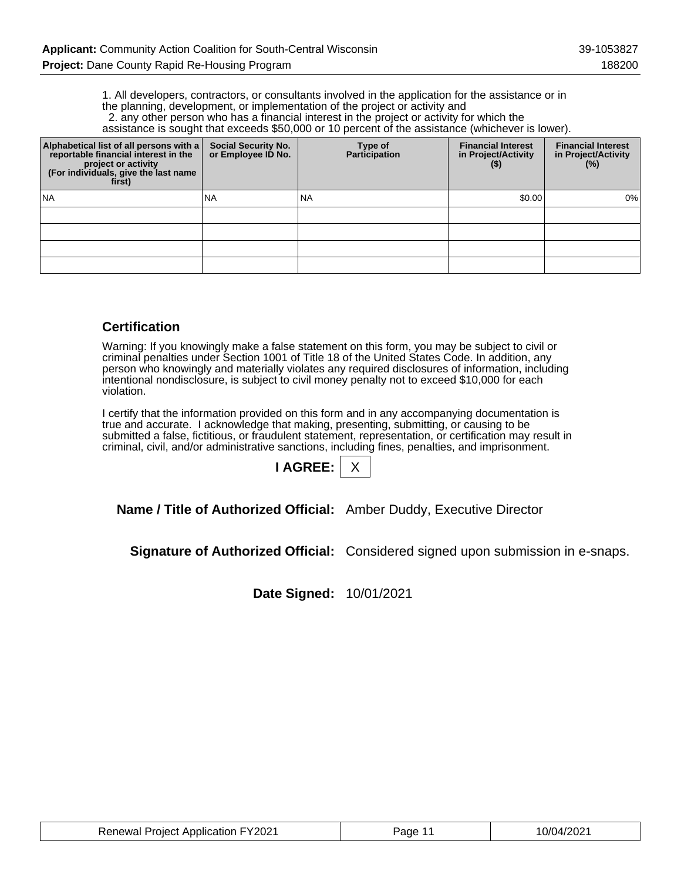1. All developers, contractors, or consultants involved in the application for the assistance or in the planning, development, or implementation of the project or activity and

2. any other person who has a financial interest in the project or activity for which the

assistance is sought that exceeds \$50,000 or 10 percent of the assistance (whichever is lower).

| Alphabetical list of all persons with a<br>reportable financial interest in the<br>project or activity<br>(For individuals, give the last name<br>first) | <b>Social Security No.</b><br>or Employee ID No. | Type of<br><b>Participation</b> | <b>Financial Interest</b><br>in Project/Activity<br>$($ \$) | <b>Financial Interest</b><br>in Project/Activity<br>(%) |
|----------------------------------------------------------------------------------------------------------------------------------------------------------|--------------------------------------------------|---------------------------------|-------------------------------------------------------------|---------------------------------------------------------|
| <b>NA</b>                                                                                                                                                | <b>NA</b>                                        | <b>NA</b>                       | \$0.00                                                      | 0%                                                      |
|                                                                                                                                                          |                                                  |                                 |                                                             |                                                         |
|                                                                                                                                                          |                                                  |                                 |                                                             |                                                         |
|                                                                                                                                                          |                                                  |                                 |                                                             |                                                         |
|                                                                                                                                                          |                                                  |                                 |                                                             |                                                         |

### **Certification**

Warning: If you knowingly make a false statement on this form, you may be subject to civil or criminal penalties under Section 1001 of Title 18 of the United States Code. In addition, any person who knowingly and materially violates any required disclosures of information, including intentional nondisclosure, is subject to civil money penalty not to exceed \$10,000 for each violation.

I certify that the information provided on this form and in any accompanying documentation is true and accurate. I acknowledge that making, presenting, submitting, or causing to be submitted a false, fictitious, or fraudulent statement, representation, or certification may result in criminal, civil, and/or administrative sanctions, including fines, penalties, and imprisonment.



**Name / Title of Authorized Official:** Amber Duddy, Executive Director

**Signature of Authorized Official:** Considered signed upon submission in e-snaps.

**Date Signed:** 10/01/2021

| <b>Renewal Project Application FY2021</b> | Page 11 | 10/04/2021 |
|-------------------------------------------|---------|------------|
|-------------------------------------------|---------|------------|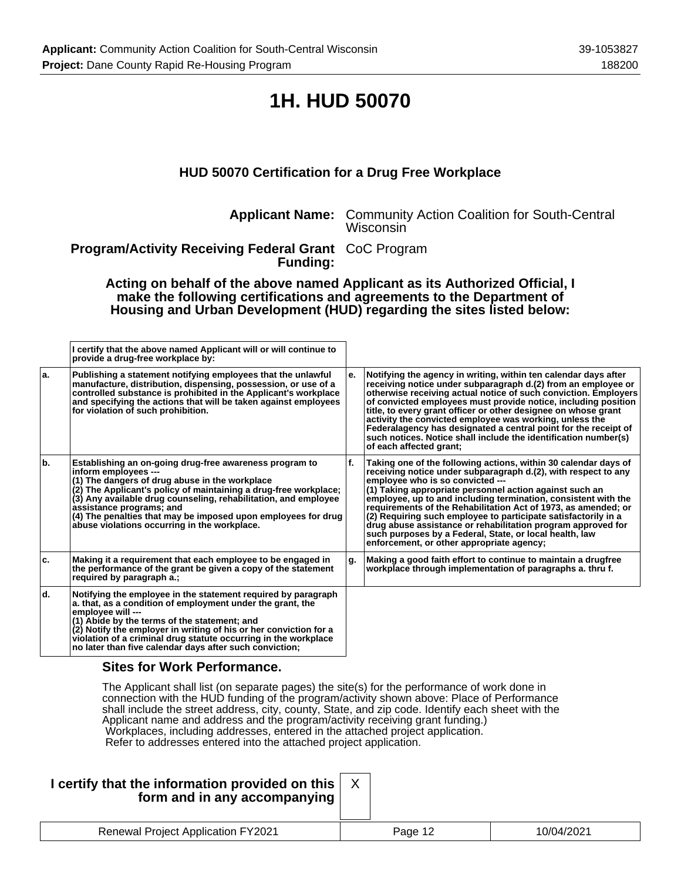## **1H. HUD 50070**

## **HUD 50070 Certification for a Drug Free Workplace**

**Applicant Name:** Community Action Coalition for South-Central Wisconsin

### **Program/Activity Receiving Federal Grant** CoC Program **Funding:**

**Acting on behalf of the above named Applicant as its Authorized Official, I make the following certifications and agreements to the Department of Housing and Urban Development (HUD) regarding the sites listed below:**

|     | I certify that the above named Applicant will or will continue to<br>provide a drug-free workplace by:                                                                                                                                                                                                                                                                                                                |    |                                                                                                                                                                                                                                                                                                                                                                                                                                                                                                                                                                                                                |
|-----|-----------------------------------------------------------------------------------------------------------------------------------------------------------------------------------------------------------------------------------------------------------------------------------------------------------------------------------------------------------------------------------------------------------------------|----|----------------------------------------------------------------------------------------------------------------------------------------------------------------------------------------------------------------------------------------------------------------------------------------------------------------------------------------------------------------------------------------------------------------------------------------------------------------------------------------------------------------------------------------------------------------------------------------------------------------|
| la. | Publishing a statement notifying employees that the unlawful<br>manufacture, distribution, dispensing, possession, or use of a<br>controlled substance is prohibited in the Applicant's workplace<br>and specifying the actions that will be taken against employees<br>for violation of such prohibition.                                                                                                            | е. | Notifying the agency in writing, within ten calendar days after<br>receiving notice under subparagraph d.(2) from an employee or<br>otherwise receiving actual notice of such conviction. Employers<br>of convicted employees must provide notice, including position<br>title, to every grant officer or other designee on whose grant<br>activity the convicted employee was working, unless the<br>Federalagency has designated a central point for the receipt of<br>such notices. Notice shall include the identification number(s)<br>of each affected grant;                                            |
| b.  | Establishing an on-going drug-free awareness program to<br>inform employees ---<br>(1) The dangers of drug abuse in the workplace<br>(2) The Applicant's policy of maintaining a drug-free workplace;<br>(3) Any available drug counseling, rehabilitation, and employee<br>assistance programs; and<br>(4) The penalties that may be imposed upon employees for drug<br>abuse violations occurring in the workplace. | f. | Taking one of the following actions, within 30 calendar days of<br>receiving notice under subparagraph d.(2), with respect to any<br>employee who is so convicted ---<br>(1) Taking appropriate personnel action against such an<br>employee, up to and including termination, consistent with the<br>requirements of the Rehabilitation Act of 1973, as amended; or<br>(2) Requiring such employee to participate satisfactorily in a<br>drug abuse assistance or rehabilitation program approved for<br>such purposes by a Federal, State, or local health, law<br>enforcement, or other appropriate agency; |
| ۱c. | Making it a requirement that each employee to be engaged in<br>the performance of the grant be given a copy of the statement<br>required by paragraph a.;                                                                                                                                                                                                                                                             | g. | Making a good faith effort to continue to maintain a drugfree<br>workplace through implementation of paragraphs a. thru f.                                                                                                                                                                                                                                                                                                                                                                                                                                                                                     |
| ld. | Notifying the employee in the statement required by paragraph<br>a. that, as a condition of employment under the grant, the<br>employee will ---<br>(1) Abide by the terms of the statement; and<br>(2) Notify the employer in writing of his or her conviction for a<br>violation of a criminal drug statute occurring in the workplace<br>no later than five calendar days after such conviction;                   |    |                                                                                                                                                                                                                                                                                                                                                                                                                                                                                                                                                                                                                |

### **Sites for Work Performance.**

The Applicant shall list (on separate pages) the site(s) for the performance of work done in connection with the HUD funding of the program/activity shown above: Place of Performance shall include the street address, city, county, State, and zip code. Identify each sheet with the Applicant name and address and the program/activity receiving grant funding.) Workplaces, including addresses, entered in the attached project application. Refer to addresses entered into the attached project application.

| I certify that the information provided on this  <br>form and in any accompanying |         |            |
|-----------------------------------------------------------------------------------|---------|------------|
| <b>Renewal Project Application FY2021</b>                                         | Page 12 | 10/04/2021 |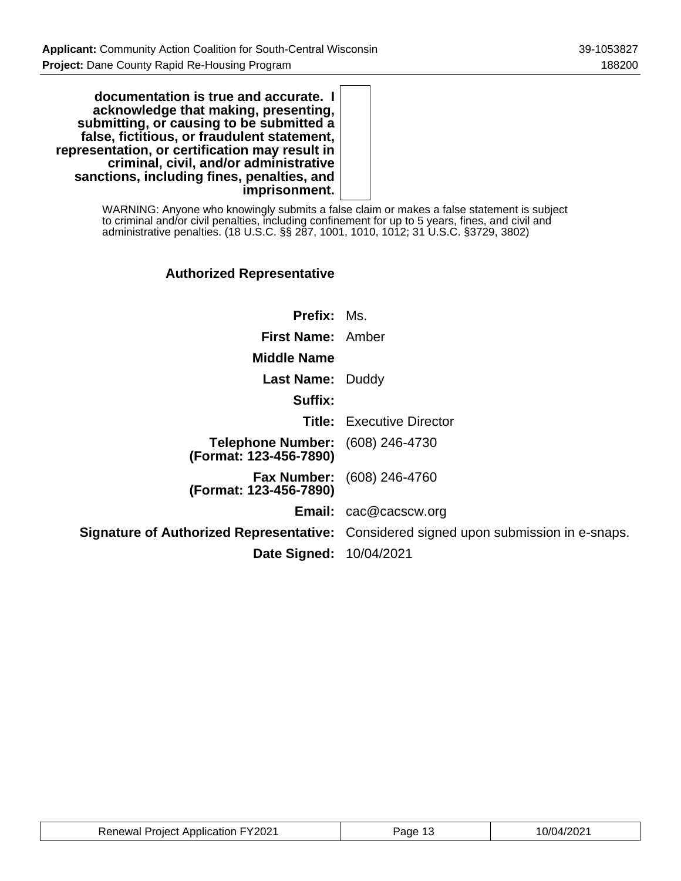**documentation is true and accurate. I acknowledge that making, presenting, submitting, or causing to be submitted a false, fictitious, or fraudulent statement, representation, or certification may result in criminal, civil, and/or administrative sanctions, including fines, penalties, and imprisonment.**

> WARNING: Anyone who knowingly submits a false claim or makes a false statement is subject to criminal and/or civil penalties, including confinement for up to 5 years, fines, and civil and administrative penalties. (18 U.S.C. §§ 287, 1001, 1010, 1012; 31 U.S.C. §3729, 3802)

## **Authorized Representative**

| <b>Prefix: Ms.</b>                                                |                                                                                       |
|-------------------------------------------------------------------|---------------------------------------------------------------------------------------|
| First Name: Amber                                                 |                                                                                       |
| <b>Middle Name</b>                                                |                                                                                       |
| <b>Last Name: Duddy</b>                                           |                                                                                       |
| Suffix:                                                           |                                                                                       |
|                                                                   | <b>Title:</b> Executive Director                                                      |
| <b>Telephone Number:</b> (608) 246-4730<br>(Format: 123-456-7890) |                                                                                       |
| (Format: 123-456-7890)                                            | <b>Fax Number:</b> (608) 246-4760                                                     |
|                                                                   | <b>Email:</b> cac@cacscw.org                                                          |
|                                                                   | Signature of Authorized Representative: Considered signed upon submission in e-snaps. |
| Date Signed: 10/04/2021                                           |                                                                                       |

| <b>Renewal Project Application FY2021</b> | Page 13 | 10/04/2021 |
|-------------------------------------------|---------|------------|
|-------------------------------------------|---------|------------|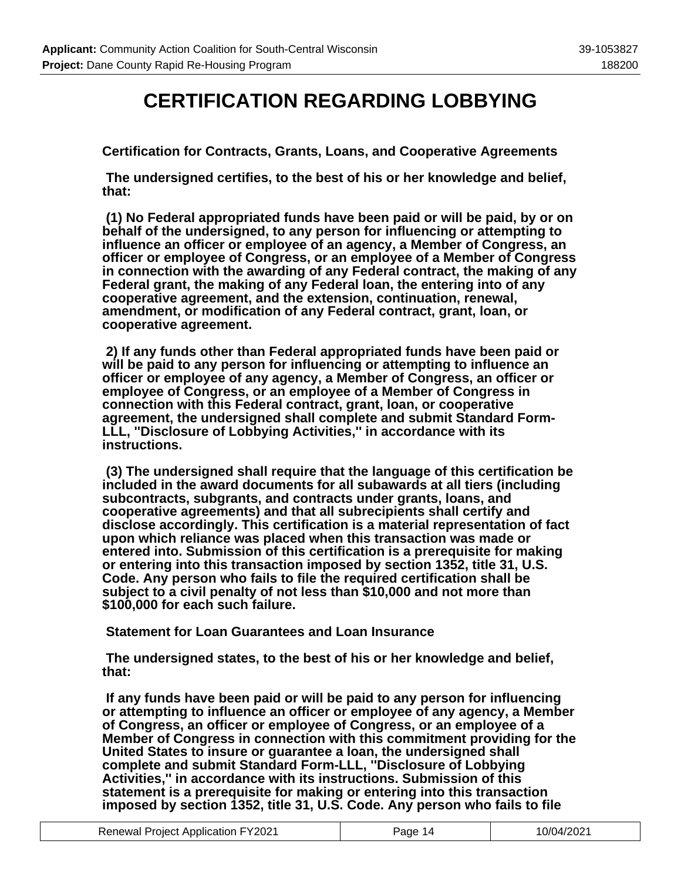## **CERTIFICATION REGARDING LOBBYING**

**Certification for Contracts, Grants, Loans, and Cooperative Agreements**

 **The undersigned certifies, to the best of his or her knowledge and belief, that:**

 **(1) No Federal appropriated funds have been paid or will be paid, by or on behalf of the undersigned, to any person for influencing or attempting to influence an officer or employee of an agency, a Member of Congress, an officer or employee of Congress, or an employee of a Member of Congress in connection with the awarding of any Federal contract, the making of any Federal grant, the making of any Federal loan, the entering into of any cooperative agreement, and the extension, continuation, renewal, amendment, or modification of any Federal contract, grant, loan, or cooperative agreement.**

 **2) If any funds other than Federal appropriated funds have been paid or will be paid to any person for influencing or attempting to influence an officer or employee of any agency, a Member of Congress, an officer or employee of Congress, or an employee of a Member of Congress in connection with this Federal contract, grant, loan, or cooperative agreement, the undersigned shall complete and submit Standard Form-LLL, ''Disclosure of Lobbying Activities,'' in accordance with its instructions.**

 **(3) The undersigned shall require that the language of this certification be included in the award documents for all subawards at all tiers (including subcontracts, subgrants, and contracts under grants, loans, and cooperative agreements) and that all subrecipients shall certify and disclose accordingly. This certification is a material representation of fact upon which reliance was placed when this transaction was made or entered into. Submission of this certification is a prerequisite for making or entering into this transaction imposed by section 1352, title 31, U.S. Code. Any person who fails to file the required certification shall be subject to a civil penalty of not less than \$10,000 and not more than \$100,000 for each such failure.**

 **Statement for Loan Guarantees and Loan Insurance**

 **The undersigned states, to the best of his or her knowledge and belief, that:**

 **If any funds have been paid or will be paid to any person for influencing or attempting to influence an officer or employee of any agency, a Member of Congress, an officer or employee of Congress, or an employee of a Member of Congress in connection with this commitment providing for the United States to insure or guarantee a loan, the undersigned shall complete and submit Standard Form-LLL, ''Disclosure of Lobbying Activities,'' in accordance with its instructions. Submission of this statement is a prerequisite for making or entering into this transaction imposed by section 1352, title 31, U.S. Code. Any person who fails to file**

| <b>Renewal Project Application FY2021</b> | Page 14 | 10/04/2021 |
|-------------------------------------------|---------|------------|
|-------------------------------------------|---------|------------|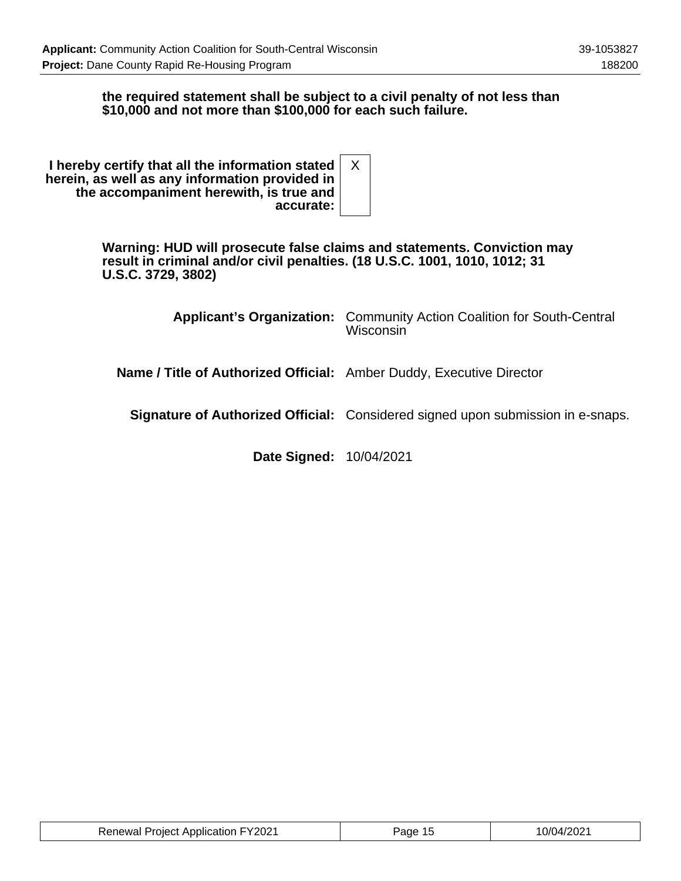### **the required statement shall be subject to a civil penalty of not less than \$10,000 and not more than \$100,000 for each such failure.**

**Warning: HUD will prosecute false claims and statements. Conviction may result in criminal and/or civil penalties. (18 U.S.C. 1001, 1010, 1012; 31 U.S.C. 3729, 3802)**

|                                                                             | <b>Applicant's Organization:</b> Community Action Coalition for South-Central<br>Wisconsin |
|-----------------------------------------------------------------------------|--------------------------------------------------------------------------------------------|
| <b>Name / Title of Authorized Official:</b> Amber Duddy, Executive Director |                                                                                            |
|                                                                             | Signature of Authorized Official: Considered signed upon submission in e-snaps.            |
| Date Signed: 10/04/2021                                                     |                                                                                            |

Renewal Project Application FY2021 | Page 15 | 10/04/2021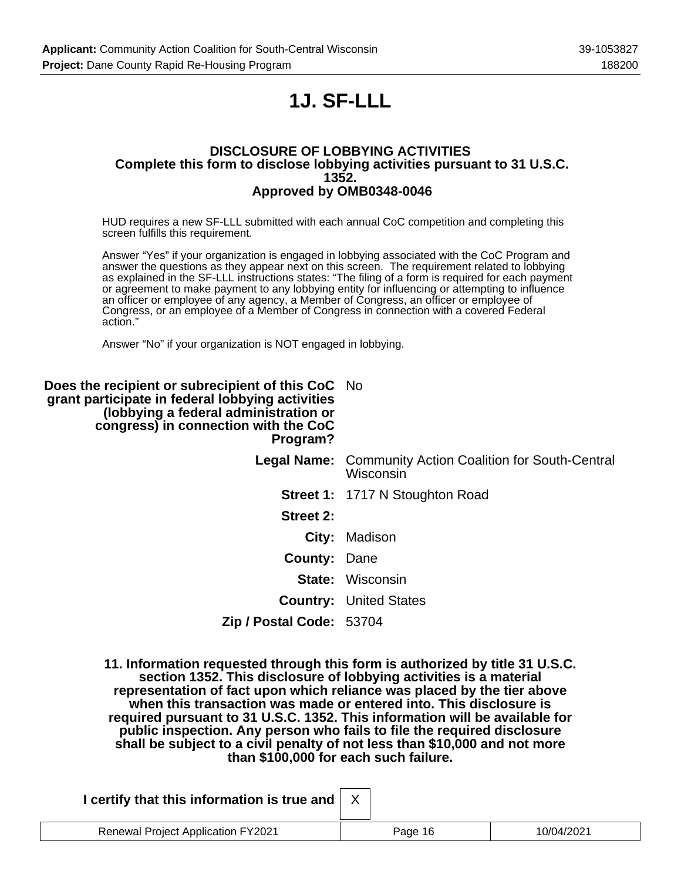# **1J. SF-LLL**

### **DISCLOSURE OF LOBBYING ACTIVITIES Complete this form to disclose lobbying activities pursuant to 31 U.S.C. 1352. Approved by OMB0348-0046**

HUD requires a new SF-LLL submitted with each annual CoC competition and completing this screen fulfills this requirement.

Answer "Yes" if your organization is engaged in lobbying associated with the CoC Program and answer the questions as they appear next on this screen. The requirement related to lobbying as explained in the SF-LLL instructions states: "The filing of a form is required for each payment or agreement to make payment to any lobbying entity for influencing or attempting to influence an officer or employee of any agency, a Member of Congress, an officer or employee of Congress, or an employee of a Member of Congress in connection with a covered Federal action."

Answer "No" if your organization is NOT engaged in lobbying.

| Does the recipient or subrecipient of this CoC No<br>grant participate in federal lobbying activities<br>(lobbying a federal administration or<br>congress) in connection with the CoC<br>Program? |                                                                              |
|----------------------------------------------------------------------------------------------------------------------------------------------------------------------------------------------------|------------------------------------------------------------------------------|
|                                                                                                                                                                                                    | <b>Legal Name:</b> Community Action Coalition for South-Central<br>Wisconsin |
|                                                                                                                                                                                                    | <b>Street 1: 1717 N Stoughton Road</b>                                       |
| Street 2:                                                                                                                                                                                          |                                                                              |
|                                                                                                                                                                                                    | <b>City: Madison</b>                                                         |
| <b>County: Dane</b>                                                                                                                                                                                |                                                                              |
|                                                                                                                                                                                                    | <b>State:</b> Wisconsin                                                      |
|                                                                                                                                                                                                    | <b>Country: United States</b>                                                |
| Zip / Postal Code: 53704                                                                                                                                                                           |                                                                              |

**11. Information requested through this form is authorized by title 31 U.S.C. section 1352. This disclosure of lobbying activities is a material representation of fact upon which reliance was placed by the tier above when this transaction was made or entered into. This disclosure is required pursuant to 31 U.S.C. 1352. This information will be available for public inspection. Any person who fails to file the required disclosure shall be subject to a civil penalty of not less than \$10,000 and not more than \$100,000 for each such failure.**

| $\iota$ certify that this information is true and $\vert$ |         |            |
|-----------------------------------------------------------|---------|------------|
| <b>Renewal Project Application FY2021</b>                 | Page 16 | 10/04/2021 |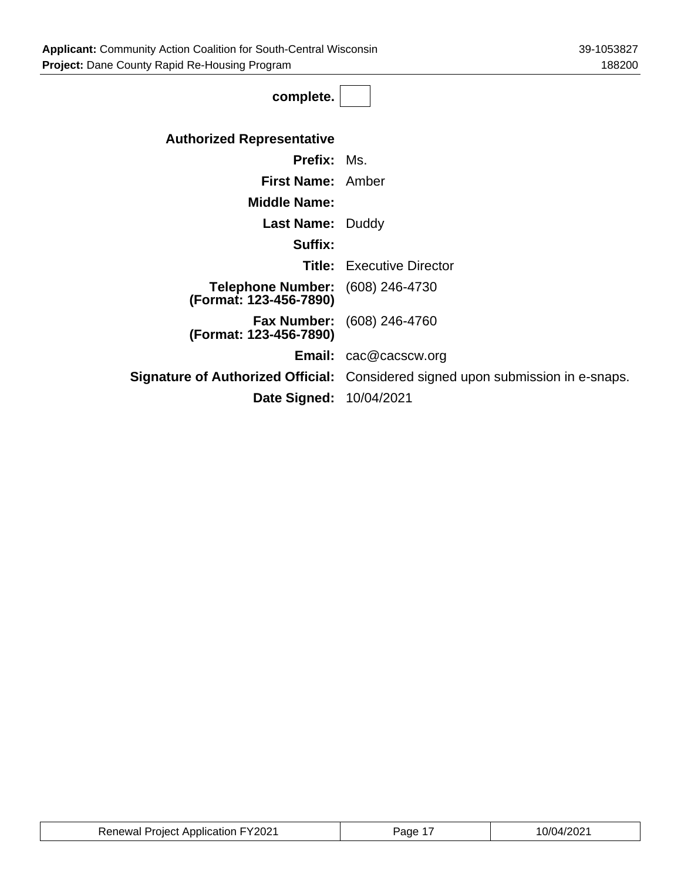| complete.                                                         |                                                                                 |
|-------------------------------------------------------------------|---------------------------------------------------------------------------------|
| <b>Authorized Representative</b>                                  |                                                                                 |
| <b>Prefix: Ms.</b>                                                |                                                                                 |
| First Name: Amber                                                 |                                                                                 |
| <b>Middle Name:</b>                                               |                                                                                 |
| <b>Last Name: Duddy</b>                                           |                                                                                 |
| Suffix:                                                           |                                                                                 |
|                                                                   | <b>Title:</b> Executive Director                                                |
| <b>Telephone Number:</b> (608) 246-4730<br>(Format: 123-456-7890) |                                                                                 |
| (Format: 123-456-7890)                                            | <b>Fax Number:</b> (608) 246-4760                                               |
|                                                                   | <b>Email:</b> cac@cacscw.org                                                    |
|                                                                   | Signature of Authorized Official: Considered signed upon submission in e-snaps. |
| Date Signed: 10/04/2021                                           |                                                                                 |

| <b>Renewal Project Application FY2021</b> | Page <sup>1-</sup> | 10/04/2021 |
|-------------------------------------------|--------------------|------------|
|-------------------------------------------|--------------------|------------|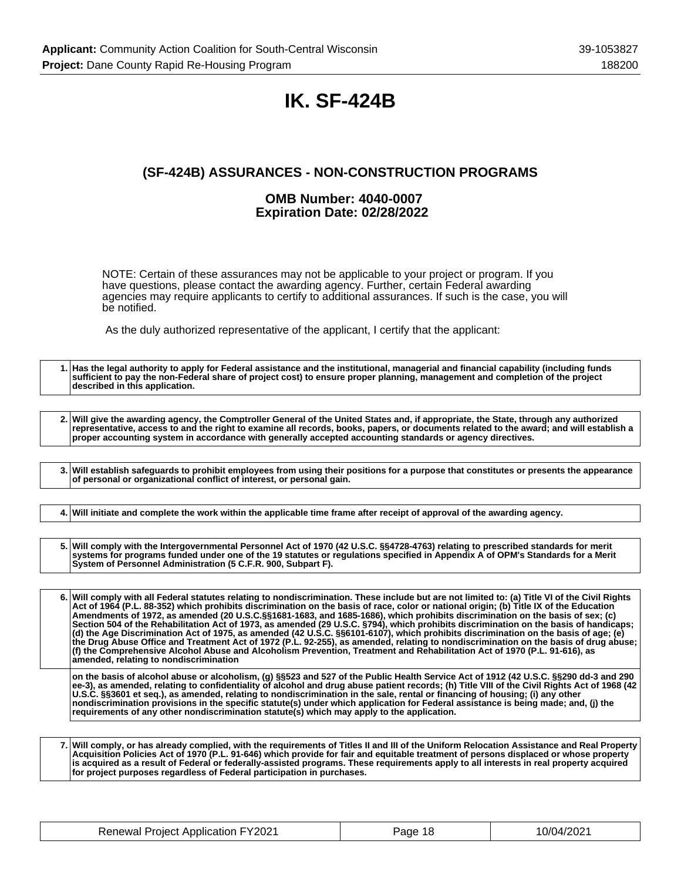## **IK. SF-424B**

## **(SF-424B) ASSURANCES - NON-CONSTRUCTION PROGRAMS**

### **OMB Number: 4040-0007 Expiration Date: 02/28/2022**

NOTE: Certain of these assurances may not be applicable to your project or program. If you have questions, please contact the awarding agency. Further, certain Federal awarding agencies may require applicants to certify to additional assurances. If such is the case, you will be notified.

As the duly authorized representative of the applicant, I certify that the applicant:

**1. Has the legal authority to apply for Federal assistance and the institutional, managerial and financial capability (including funds sufficient to pay the non-Federal share of project cost) to ensure proper planning, management and completion of the project described in this application.**

**2. Will give the awarding agency, the Comptroller General of the United States and, if appropriate, the State, through any authorized representative, access to and the right to examine all records, books, papers, or documents related to the award; and will establish a proper accounting system in accordance with generally accepted accounting standards or agency directives.**

**3. Will establish safeguards to prohibit employees from using their positions for a purpose that constitutes or presents the appearance of personal or organizational conflict of interest, or personal gain.**

**4. Will initiate and complete the work within the applicable time frame after receipt of approval of the awarding agency.**

**5. Will comply with the Intergovernmental Personnel Act of 1970 (42 U.S.C. §§4728-4763) relating to prescribed standards for merit systems for programs funded under one of the 19 statutes or regulations specified in Appendix A of OPM's Standards for a Merit System of Personnel Administration (5 C.F.R. 900, Subpart F).**

**6. Will comply with all Federal statutes relating to nondiscrimination. These include but are not limited to: (a) Title VI of the Civil Rights Act of 1964 (P.L. 88-352) which prohibits discrimination on the basis of race, color or national origin; (b) Title IX of the Education Amendments of 1972, as amended (20 U.S.C.§§1681-1683, and 1685-1686), which prohibits discrimination on the basis of sex; (c) Section 504 of the Rehabilitation Act of 1973, as amended (29 U.S.C. §794), which prohibits discrimination on the basis of handicaps; (d) the Age Discrimination Act of 1975, as amended (42 U.S.C. §§6101-6107), which prohibits discrimination on the basis of age; (e) the Drug Abuse Office and Treatment Act of 1972 (P.L. 92-255), as amended, relating to nondiscrimination on the basis of drug abuse; (f) the Comprehensive Alcohol Abuse and Alcoholism Prevention, Treatment and Rehabilitation Act of 1970 (P.L. 91-616), as amended, relating to nondiscrimination**

**on the basis of alcohol abuse or alcoholism, (g) §§523 and 527 of the Public Health Service Act of 1912 (42 U.S.C. §§290 dd-3 and 290 ee-3), as amended, relating to confidentiality of alcohol and drug abuse patient records; (h) Title VIII of the Civil Rights Act of 1968 (42 U.S.C. §§3601 et seq.), as amended, relating to nondiscrimination in the sale, rental or financing of housing; (i) any other nondiscrimination provisions in the specific statute(s) under which application for Federal assistance is being made; and, (j) the requirements of any other nondiscrimination statute(s) which may apply to the application.**

**7. Will comply, or has already complied, with the requirements of Titles II and III of the Uniform Relocation Assistance and Real Property Acquisition Policies Act of 1970 (P.L. 91-646) which provide for fair and equitable treatment of persons displaced or whose property is acquired as a result of Federal or federally-assisted programs. These requirements apply to all interests in real property acquired for project purposes regardless of Federal participation in purchases.**

| <b>Renewal Project Application FY2021</b> | Page 18 | 10/04/2021 |
|-------------------------------------------|---------|------------|
|-------------------------------------------|---------|------------|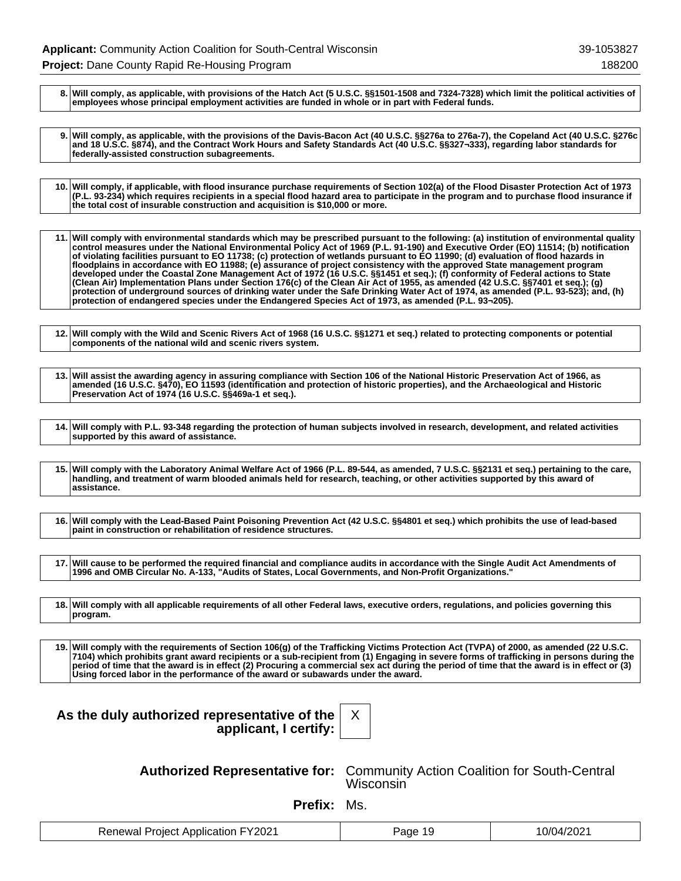**8. Will comply, as applicable, with provisions of the Hatch Act (5 U.S.C. §§1501-1508 and 7324-7328) which limit the political activities of employees whose principal employment activities are funded in whole or in part with Federal funds.**

**9. Will comply, as applicable, with the provisions of the Davis-Bacon Act (40 U.S.C. §§276a to 276a-7), the Copeland Act (40 U.S.C. §276c and 18 U.S.C. §874), and the Contract Work Hours and Safety Standards Act (40 U.S.C. §§327¬333), regarding labor standards for federally-assisted construction subagreements.**

**10. Will comply, if applicable, with flood insurance purchase requirements of Section 102(a) of the Flood Disaster Protection Act of 1973 (P.L. 93-234) which requires recipients in a special flood hazard area to participate in the program and to purchase flood insurance if the total cost of insurable construction and acquisition is \$10,000 or more.**

**11. Will comply with environmental standards which may be prescribed pursuant to the following: (a) institution of environmental quality control measures under the National Environmental Policy Act of 1969 (P.L. 91-190) and Executive Order (EO) 11514; (b) notification of violating facilities pursuant to EO 11738; (c) protection of wetlands pursuant to EO 11990; (d) evaluation of flood hazards in floodplains in accordance with EO 11988; (e) assurance of project consistency with the approved State management program developed under the Coastal Zone Management Act of 1972 (16 U.S.C. §§1451 et seq.); (f) conformity of Federal actions to State (Clean Air) Implementation Plans under Section 176(c) of the Clean Air Act of 1955, as amended (42 U.S.C. §§7401 et seq.); (g) protection of underground sources of drinking water under the Safe Drinking Water Act of 1974, as amended (P.L. 93-523); and, (h) protection of endangered species under the Endangered Species Act of 1973, as amended (P.L. 93¬205).**

**12. Will comply with the Wild and Scenic Rivers Act of 1968 (16 U.S.C. §§1271 et seq.) related to protecting components or potential components of the national wild and scenic rivers system.**

**13. Will assist the awarding agency in assuring compliance with Section 106 of the National Historic Preservation Act of 1966, as amended (16 U.S.C. §470), EO 11593 (identification and protection of historic properties), and the Archaeological and Historic Preservation Act of 1974 (16 U.S.C. §§469a-1 et seq.).**

**14. Will comply with P.L. 93-348 regarding the protection of human subjects involved in research, development, and related activities supported by this award of assistance.**

**15. Will comply with the Laboratory Animal Welfare Act of 1966 (P.L. 89-544, as amended, 7 U.S.C. §§2131 et seq.) pertaining to the care, handling, and treatment of warm blooded animals held for research, teaching, or other activities supported by this award of assistance.**

**16. Will comply with the Lead-Based Paint Poisoning Prevention Act (42 U.S.C. §§4801 et seq.) which prohibits the use of lead-based paint in construction or rehabilitation of residence structures.**

**17. Will cause to be performed the required financial and compliance audits in accordance with the Single Audit Act Amendments of 1996 and OMB Circular No. A-133, "Audits of States, Local Governments, and Non-Profit Organizations."**

**18. Will comply with all applicable requirements of all other Federal laws, executive orders, regulations, and policies governing this program.**

**19. Will comply with the requirements of Section 106(g) of the Trafficking Victims Protection Act (TVPA) of 2000, as amended (22 U.S.C. 7104) which prohibits grant award recipients or a sub-recipient from (1) Engaging in severe forms of trafficking in persons during the period of time that the award is in effect (2) Procuring a commercial sex act during the period of time that the award is in effect or (3) Using forced labor in the performance of the award or subawards under the award.**

X

| As the duly authorized representative of the |  |
|----------------------------------------------|--|
| applicant, I certify:                        |  |

**Authorized Representative for:** Community Action Coalition for South-Central Wisconsin<sup>1</sup>

**Prefix:** Ms.

| on FY2021 ان<br>⊰enewal<br><b>Project Application</b> | 1 C.<br>age<br>. . | 10/04/202 <sup>4</sup> |
|-------------------------------------------------------|--------------------|------------------------|
|-------------------------------------------------------|--------------------|------------------------|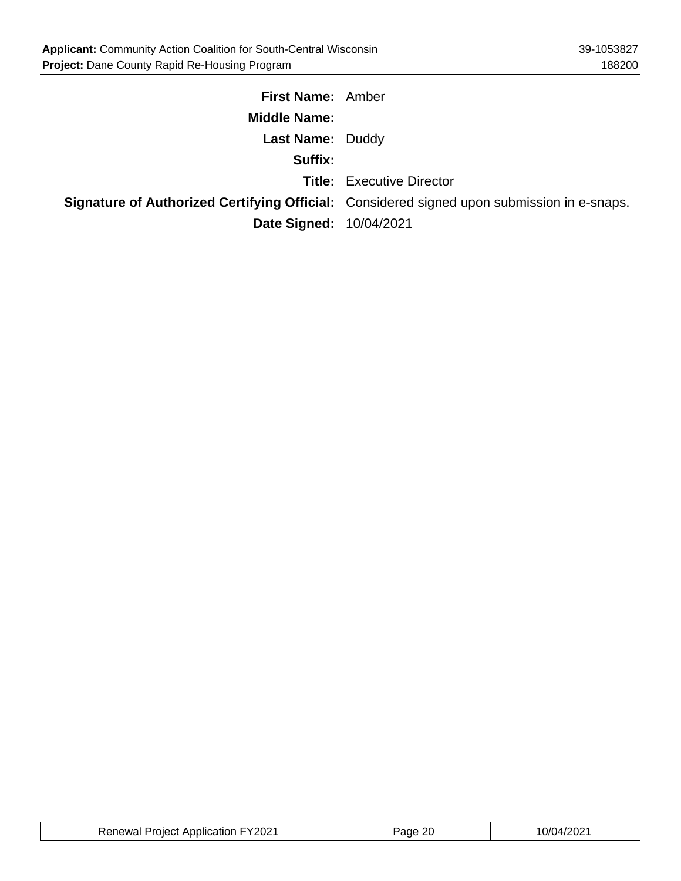| <b>First Name: Amber</b> |                                                                                            |
|--------------------------|--------------------------------------------------------------------------------------------|
| <b>Middle Name:</b>      |                                                                                            |
| <b>Last Name: Duddy</b>  |                                                                                            |
| Suffix:                  |                                                                                            |
|                          | <b>Title:</b> Executive Director                                                           |
|                          | Signature of Authorized Certifying Official: Considered signed upon submission in e-snaps. |
| Date Signed: 10/04/2021  |                                                                                            |

| <b>Renewal Project Application FY2021</b> | Page 20 | 10/04/2021 |
|-------------------------------------------|---------|------------|
|-------------------------------------------|---------|------------|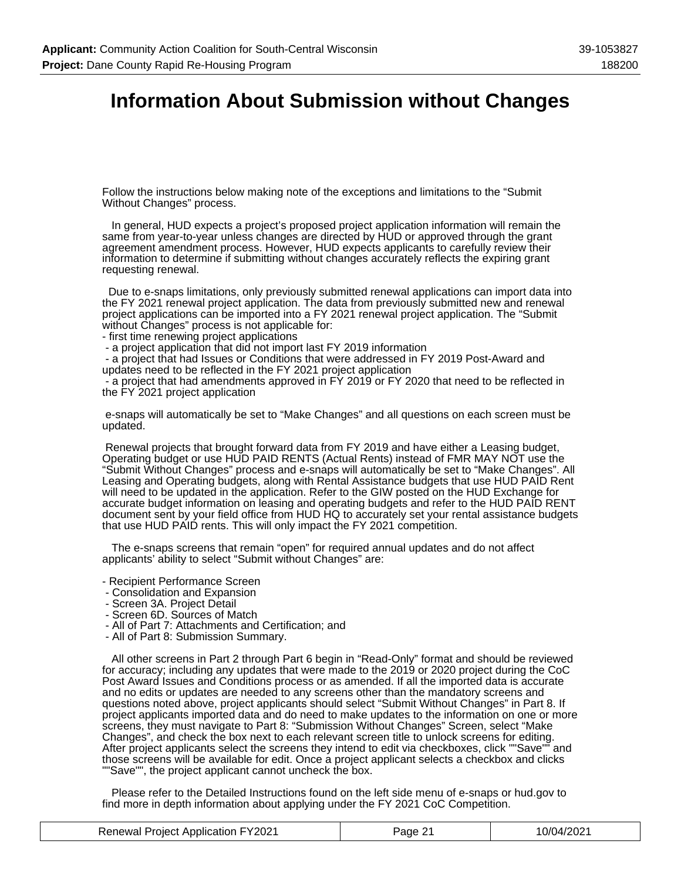## **Information About Submission without Changes**

Follow the instructions below making note of the exceptions and limitations to the "Submit Without Changes" process.

 In general, HUD expects a project's proposed project application information will remain the same from year-to-year unless changes are directed by HUD or approved through the grant agreement amendment process. However, HUD expects applicants to carefully review their information to determine if submitting without changes accurately reflects the expiring grant requesting renewal.

 Due to e-snaps limitations, only previously submitted renewal applications can import data into the FY 2021 renewal project application. The data from previously submitted new and renewal project applications can be imported into a FY 2021 renewal project application. The "Submit without Changes" process is not applicable for:

- first time renewing project applications
- a project application that did not import last FY 2019 information

 - a project that had Issues or Conditions that were addressed in FY 2019 Post-Award and updates need to be reflected in the FY 2021 project application

 - a project that had amendments approved in FY 2019 or FY 2020 that need to be reflected in the FY 2021 project application

 e-snaps will automatically be set to "Make Changes" and all questions on each screen must be updated.

 Renewal projects that brought forward data from FY 2019 and have either a Leasing budget, Operating budget or use HUD PAID RENTS (Actual Rents) instead of FMR MAY NOT use the "Submit Without Changes" process and e-snaps will automatically be set to "Make Changes". All Leasing and Operating budgets, along with Rental Assistance budgets that use HUD PAID Rent will need to be updated in the application. Refer to the GIW posted on the HUD Exchange for accurate budget information on leasing and operating budgets and refer to the HUD PAID RENT document sent by your field office from HUD HQ to accurately set your rental assistance budgets that use HUD PAID rents. This will only impact the FY 2021 competition.

 The e-snaps screens that remain "open" for required annual updates and do not affect applicants' ability to select "Submit without Changes" are:

- Recipient Performance Screen
- Consolidation and Expansion
- Screen 3A. Project Detail
- Screen 6D. Sources of Match
- All of Part 7: Attachments and Certification; and
- All of Part 8: Submission Summary.

 All other screens in Part 2 through Part 6 begin in "Read-Only" format and should be reviewed for accuracy; including any updates that were made to the 2019 or 2020 project during the CoC Post Award Issues and Conditions process or as amended. If all the imported data is accurate and no edits or updates are needed to any screens other than the mandatory screens and questions noted above, project applicants should select "Submit Without Changes" in Part 8. If project applicants imported data and do need to make updates to the information on one or more screens, they must navigate to Part 8: "Submission Without Changes" Screen, select "Make Changes", and check the box next to each relevant screen title to unlock screens for editing. After project applicants select the screens they intend to edit via checkboxes, click ""Save"" and those screens will be available for edit. Once a project applicant selects a checkbox and clicks ""Save"", the project applicant cannot uncheck the box.

 Please refer to the Detailed Instructions found on the left side menu of e-snaps or hud.gov to find more in depth information about applying under the FY 2021 CoC Competition.

| <b>Renewal Project Application FY2021</b> | Page 21 | 10/04/2021 |
|-------------------------------------------|---------|------------|
|-------------------------------------------|---------|------------|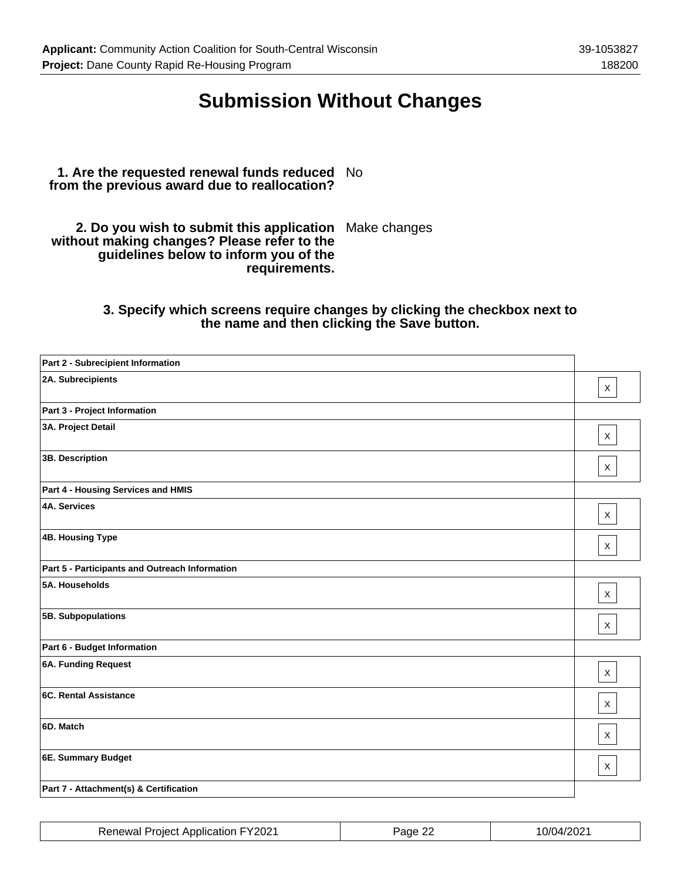# **Submission Without Changes**

### **1. Are the requested renewal funds reduced** No **from the previous award due to reallocation?**

**2. Do you wish to submit this application** Make changes **without making changes? Please refer to the guidelines below to inform you of the requirements.**

### **3. Specify which screens require changes by clicking the checkbox next to the name and then clicking the Save button.**

| Part 2 - Subrecipient Information              |              |
|------------------------------------------------|--------------|
| 2A. Subrecipients                              | $\mathsf X$  |
| Part 3 - Project Information                   |              |
| 3A. Project Detail                             | $\mathsf X$  |
| 3B. Description                                | X            |
| Part 4 - Housing Services and HMIS             |              |
| <b>4A. Services</b>                            | $\mathsf{X}$ |
| <b>4B. Housing Type</b>                        | X            |
| Part 5 - Participants and Outreach Information |              |
| 5A. Households                                 | $\mathsf X$  |
| 5B. Subpopulations                             | X            |
| Part 6 - Budget Information                    |              |
| <b>6A. Funding Request</b>                     | X            |
| <b>6C. Rental Assistance</b>                   | X            |
| 6D. Match                                      | $\mathsf{X}$ |
| 6E. Summary Budget                             | $\mathsf{X}$ |
| Part 7 - Attachment(s) & Certification         |              |
|                                                |              |

| un FY2021 مست<br>Application<br>Renewal<br>Project | ane<br>-- | $\blacksquare$<br>ືບ∠ |
|----------------------------------------------------|-----------|-----------------------|
|----------------------------------------------------|-----------|-----------------------|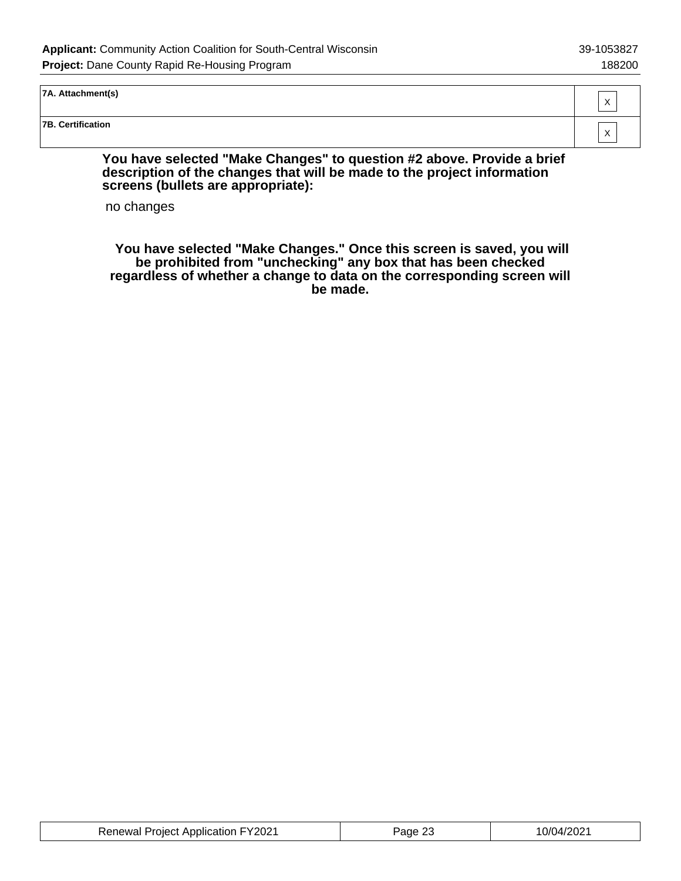## **7A. Attachment(s)** X **7B. Certification** X

**You have selected "Make Changes" to question #2 above. Provide a brief description of the changes that will be made to the project information screens (bullets are appropriate):**

no changes

 **You have selected "Make Changes." Once this screen is saved, you will be prohibited from "unchecking" any box that has been checked regardless of whether a change to data on the corresponding screen will be made.**

| <b>Renewal Project Application FY2021</b> | Page 23 | 10/04/2021 |
|-------------------------------------------|---------|------------|
|-------------------------------------------|---------|------------|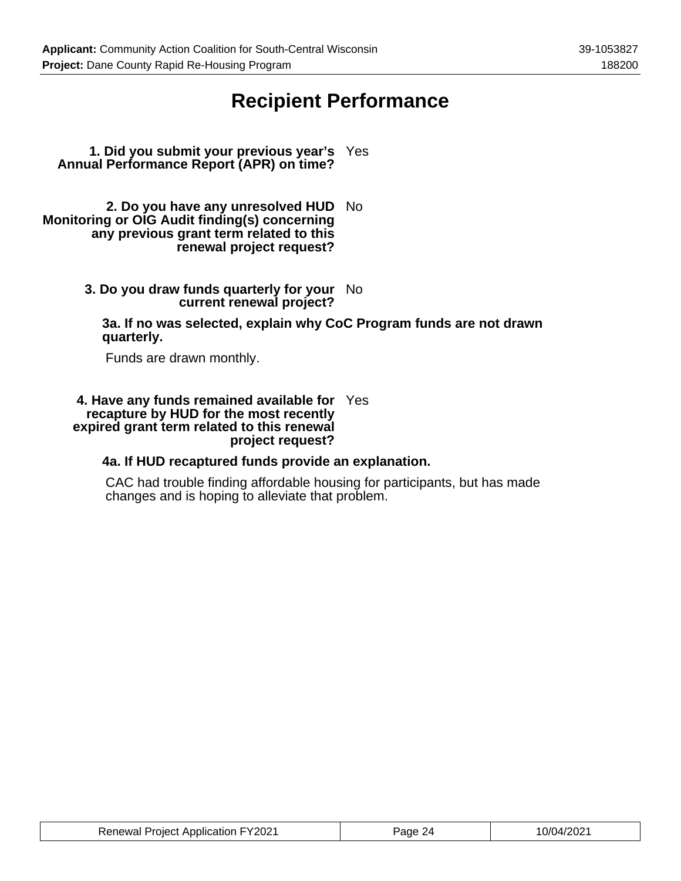## **Recipient Performance**

**1. Did you submit your previous year's** Yes **Annual Performance Report (APR) on time?**

**2. Do you have any unresolved HUD** No **Monitoring or OIG Audit finding(s) concerning any previous grant term related to this renewal project request?**

> **3. Do you draw funds quarterly for your** No **current renewal project?**

**3a. If no was selected, explain why CoC Program funds are not drawn quarterly.**

Funds are drawn monthly.

### **4. Have any funds remained available for** Yes **recapture by HUD for the most recently expired grant term related to this renewal project request?**

### **4a. If HUD recaptured funds provide an explanation.**

CAC had trouble finding affordable housing for participants, but has made changes and is hoping to alleviate that problem.

| <b>Renewal Project Application FY2021</b> | 'age | 10/04/2021 |
|-------------------------------------------|------|------------|
|-------------------------------------------|------|------------|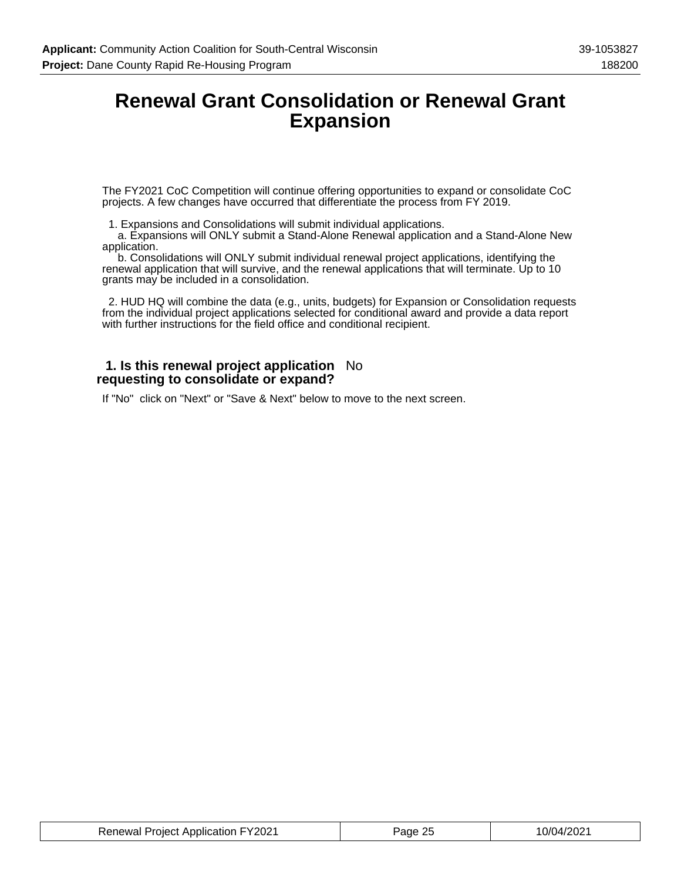## **Renewal Grant Consolidation or Renewal Grant Expansion**

The FY2021 CoC Competition will continue offering opportunities to expand or consolidate CoC projects. A few changes have occurred that differentiate the process from FY 2019.

1. Expansions and Consolidations will submit individual applications.

 a. Expansions will ONLY submit a Stand-Alone Renewal application and a Stand-Alone New application.

 b. Consolidations will ONLY submit individual renewal project applications, identifying the renewal application that will survive, and the renewal applications that will terminate. Up to 10 grants may be included in a consolidation.

 2. HUD HQ will combine the data (e.g., units, budgets) for Expansion or Consolidation requests from the individual project applications selected for conditional award and provide a data report with further instructions for the field office and conditional recipient.

### **1. Is this renewal project application** No **requesting to consolidate or expand?**

If "No" click on "Next" or "Save & Next" below to move to the next screen.

| <b>Renewal Project Application FY2021</b> | Page 25 | 10/04/2021 |
|-------------------------------------------|---------|------------|
|-------------------------------------------|---------|------------|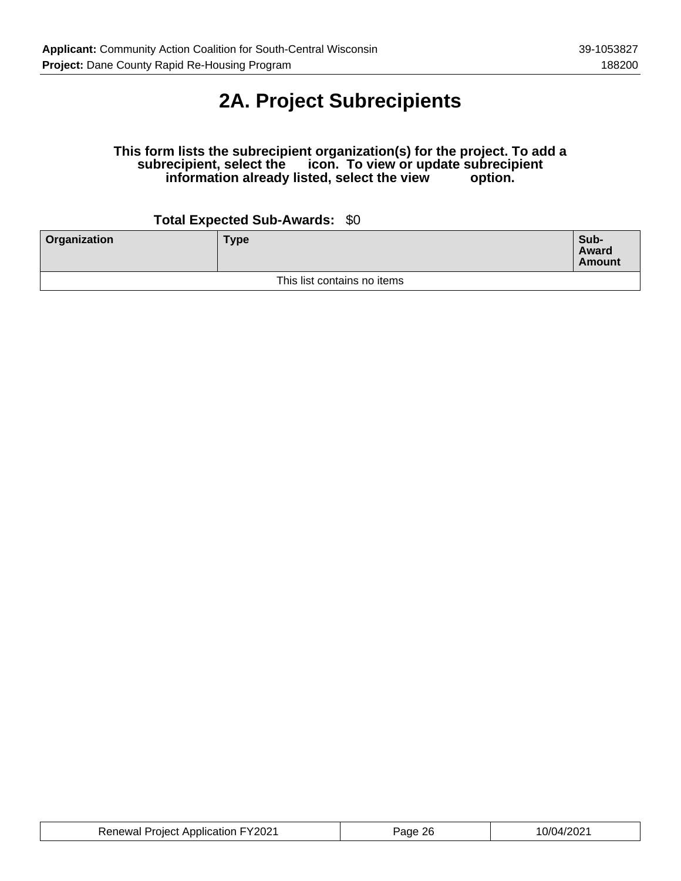# **2A. Project Subrecipients**

### **This form lists the subrecipient organization(s) for the project. To add a subrecipient, select the icon. To view or update subrecipient information already listed, select the view option.**

## **Total Expected Sub-Awards:** \$0

| Organization | <b>Type</b>                 | Sub-<br>Award<br><b>Amount</b> |
|--------------|-----------------------------|--------------------------------|
|              | This list contains no items |                                |

| <b>Renewal Project Application FY2021</b> | Page | 10/04/2021 |
|-------------------------------------------|------|------------|
|-------------------------------------------|------|------------|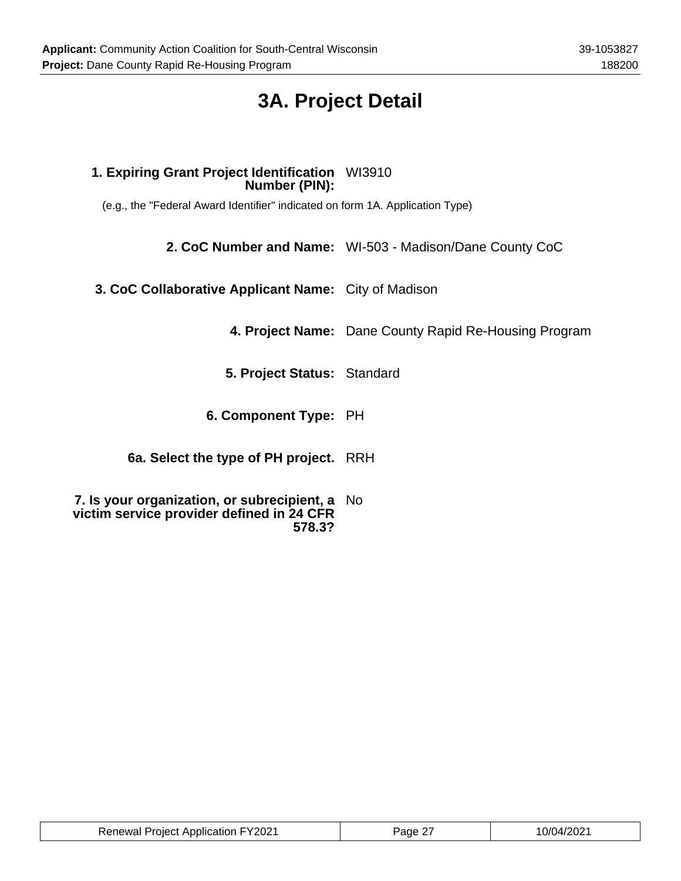# **3A. Project Detail**

## **1. Expiring Grant Project Identification** WI3910 **Number (PIN):**

(e.g., the "Federal Award Identifier" indicated on form 1A. Application Type)

**2. CoC Number and Name:** WI-503 - Madison/Dane County CoC

**3. CoC Collaborative Applicant Name:** City of Madison

**4. Project Name:** Dane County Rapid Re-Housing Program

**5. Project Status:** Standard

**6. Component Type:** PH

**6a. Select the type of PH project.** RRH

**7. Is your organization, or subrecipient, a** No **victim service provider defined in 24 CFR 578.3?**

| <b>Renewal Project Application FY2021</b> | Page 27 | 10/04/2021 |
|-------------------------------------------|---------|------------|
|-------------------------------------------|---------|------------|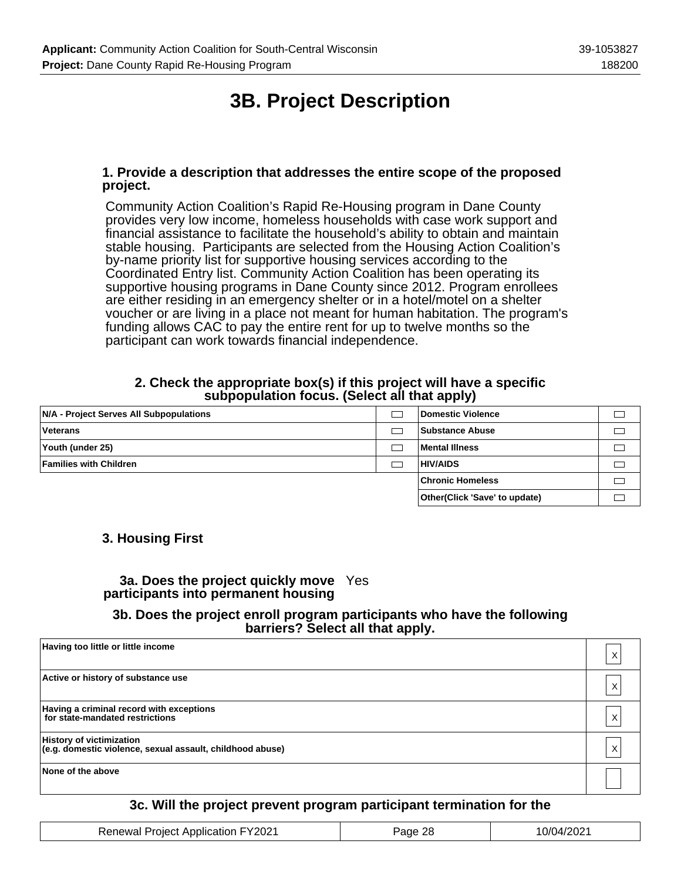# **3B. Project Description**

### **1. Provide a description that addresses the entire scope of the proposed project.**

Community Action Coalition's Rapid Re-Housing program in Dane County provides very low income, homeless households with case work support and financial assistance to facilitate the household's ability to obtain and maintain stable housing. Participants are selected from the Housing Action Coalition's by-name priority list for supportive housing services according to the Coordinated Entry list. Community Action Coalition has been operating its supportive housing programs in Dane County since 2012. Program enrollees are either residing in an emergency shelter or in a hotel/motel on a shelter voucher or are living in a place not meant for human habitation. The program's funding allows CAC to pay the entire rent for up to twelve months so the participant can work towards financial independence.

### **2. Check the appropriate box(s) if this project will have a specific subpopulation focus. (Select all that apply)**

| N/A - Project Serves All Subpopulations | Domestic Violence                     |  |
|-----------------------------------------|---------------------------------------|--|
| <b>Veterans</b>                         | <b>Substance Abuse</b>                |  |
| Youth (under 25)                        | Mental Illness                        |  |
| <b>Families with Children</b>           | <b>HIV/AIDS</b>                       |  |
|                                         | <b>Chronic Homeless</b>               |  |
|                                         | <b>Other (Click 'Save' to update)</b> |  |

## **3. Housing First**

## **3a. Does the project quickly move** Yes **participants into permanent housing**

### **3b. Does the project enroll program participants who have the following barriers? Select all that apply.**

| Having too little or little income                                                           |  |
|----------------------------------------------------------------------------------------------|--|
| Active or history of substance use                                                           |  |
| Having a criminal record with exceptions<br>for state-mandated restrictions                  |  |
| <b>History of victimization</b><br>(e.g. domestic violence, sexual assault, childhood abuse) |  |
| None of the above                                                                            |  |

### **3c. Will the project prevent program participant termination for the**

| <b>Renewal Project Application FY2021</b> | Page 28 | 10/04/2021 |
|-------------------------------------------|---------|------------|
|-------------------------------------------|---------|------------|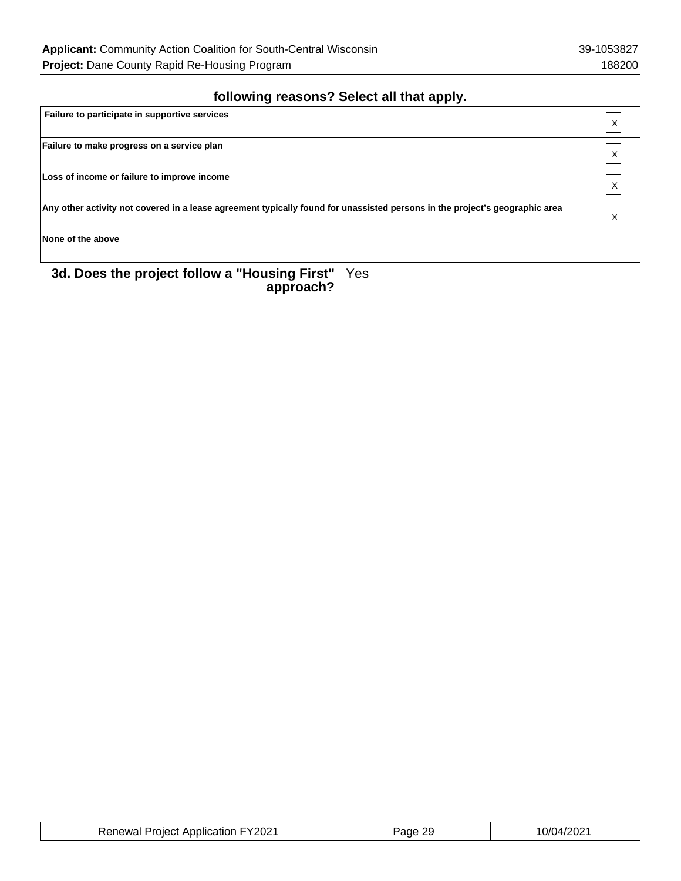## **following reasons? Select all that apply.**

| Failure to participate in supportive services                                                                               | Χ |
|-----------------------------------------------------------------------------------------------------------------------------|---|
| Failure to make progress on a service plan                                                                                  | Χ |
| Loss of income or failure to improve income                                                                                 |   |
| Any other activity not covered in a lease agreement typically found for unassisted persons in the project's geographic area | X |
| None of the above                                                                                                           |   |

#### **3d. Does the project follow a "Housing First" approach?** Yes

| <b>Renewal Project Application FY2021</b> | Page 29 | 10/04/2021 |
|-------------------------------------------|---------|------------|
|-------------------------------------------|---------|------------|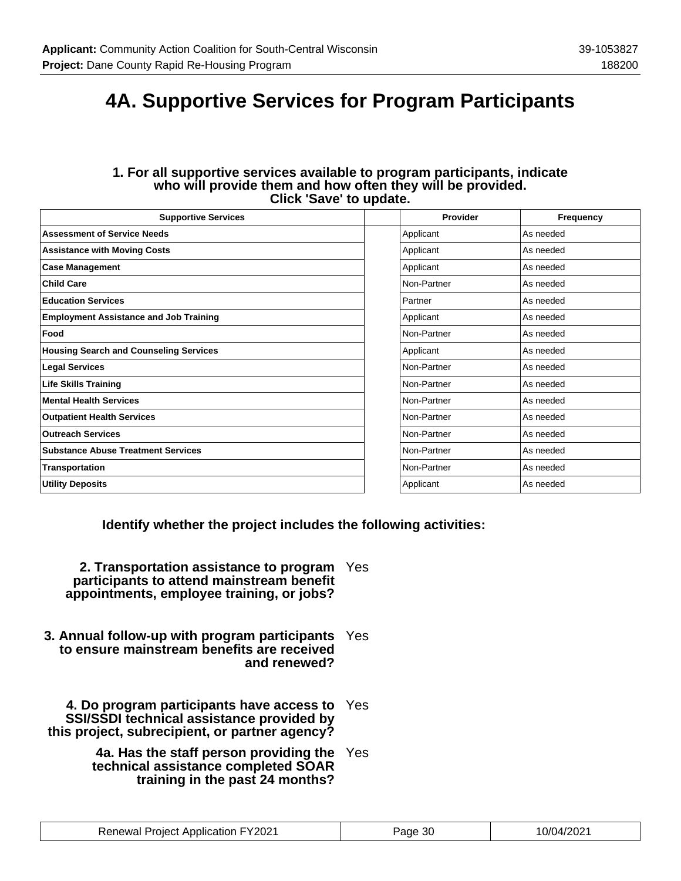# **4A. Supportive Services for Program Participants**

### **1. For all supportive services available to program participants, indicate who will provide them and how often they will be provided. Click 'Save' to update.**

| <b>Supportive Services</b>                    | <b>Provider</b> | Frequency |
|-----------------------------------------------|-----------------|-----------|
| <b>Assessment of Service Needs</b>            | Applicant       | As needed |
| <b>Assistance with Moving Costs</b>           | Applicant       | As needed |
| <b>Case Management</b>                        | Applicant       | As needed |
| <b>Child Care</b>                             | Non-Partner     | As needed |
| <b>Education Services</b>                     | Partner         | As needed |
| <b>Employment Assistance and Job Training</b> | Applicant       | As needed |
| Food                                          | Non-Partner     | As needed |
| <b>Housing Search and Counseling Services</b> | Applicant       | As needed |
| <b>Legal Services</b>                         | Non-Partner     | As needed |
| <b>Life Skills Training</b>                   | Non-Partner     | As needed |
| <b>Mental Health Services</b>                 | Non-Partner     | As needed |
| <b>Outpatient Health Services</b>             | Non-Partner     | As needed |
| <b>Outreach Services</b>                      | Non-Partner     | As needed |
| <b>Substance Abuse Treatment Services</b>     | Non-Partner     | As needed |
| <b>Transportation</b>                         | Non-Partner     | As needed |
| <b>Utility Deposits</b>                       | Applicant       | As needed |

**Identify whether the project includes the following activities:**

| 2. Transportation assistance to program<br>participants to attend mainstream benefit<br>appointments, employee training, or jobs?            | Yes |
|----------------------------------------------------------------------------------------------------------------------------------------------|-----|
| 3. Annual follow-up with program participants<br>to ensure mainstream benefits are received<br>and renewed?                                  | Yes |
| 4. Do program participants have access to Yes<br>SSI/SSDI technical assistance provided by<br>this project, subrecipient, or partner agency? |     |
| 4a. Has the staff person providing the<br>technical assistance completed SOAR<br>training in the past 24 months?                             | Yes |

| <b>Renewal Project Application FY2021</b> | Page 30 | 10/04/2021 |
|-------------------------------------------|---------|------------|
|-------------------------------------------|---------|------------|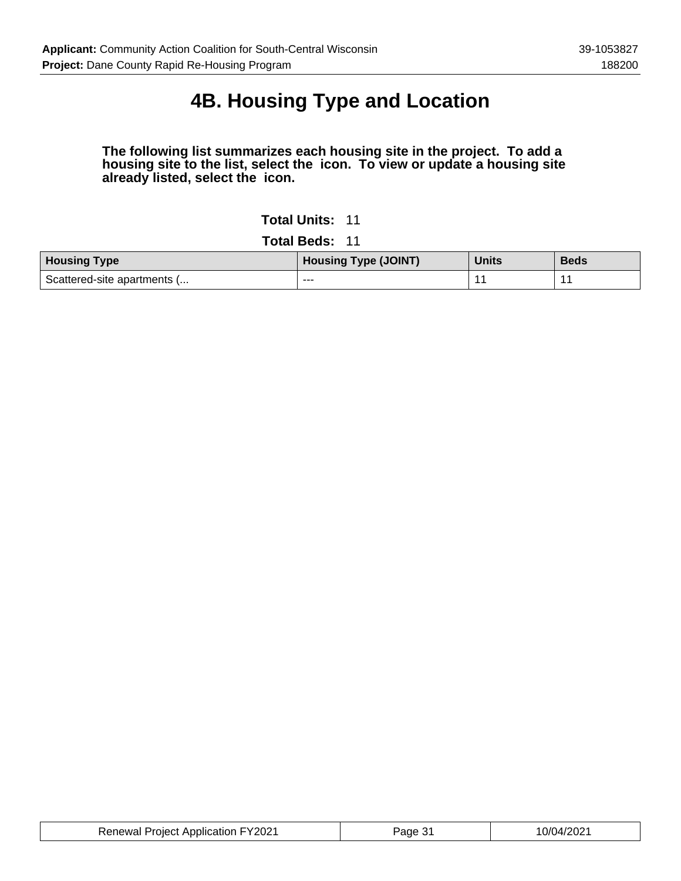# **4B. Housing Type and Location**

### **The following list summarizes each housing site in the project. To add a housing site to the list, select the icon. To view or update a housing site already listed, select the icon.**

**Total Units:** 11

**Total Beds:** 11

| <b>Housing Type</b>         | Housing Type (JOINT) | <b>Units</b> | <b>Beds</b> |
|-----------------------------|----------------------|--------------|-------------|
| Scattered-site apartments ( | ---                  | -            |             |

| <b>Renewal Project Application FY2021</b> | Page<br>◡ | 10/04/2021 |
|-------------------------------------------|-----------|------------|
|-------------------------------------------|-----------|------------|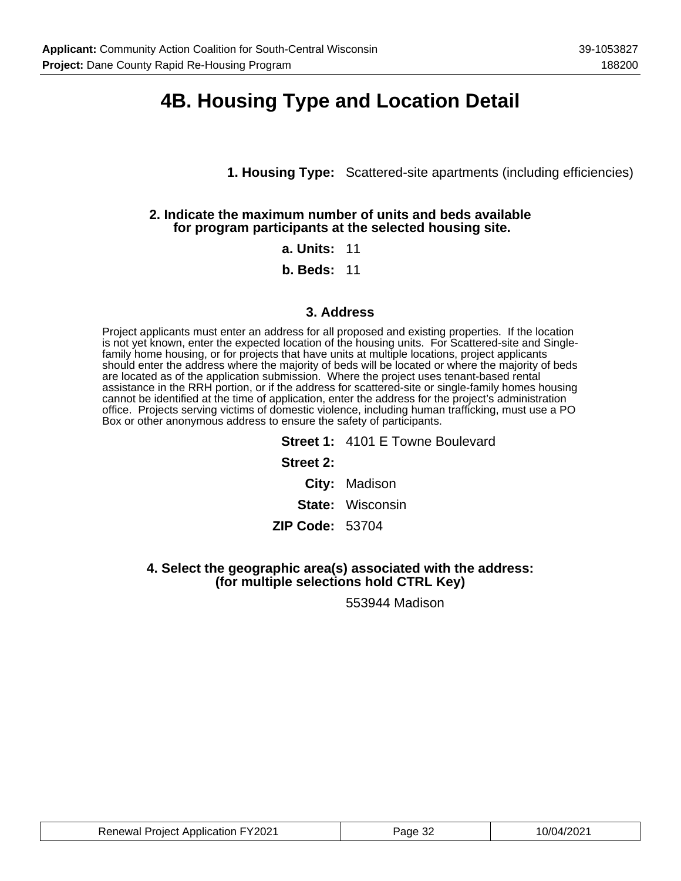# **4B. Housing Type and Location Detail**

**1. Housing Type:** Scattered-site apartments (including efficiencies)

### **2. Indicate the maximum number of units and beds available for program participants at the selected housing site.**

### **a. Units:** 11

**b. Beds:** 11

### **3. Address**

Project applicants must enter an address for all proposed and existing properties. If the location is not yet known, enter the expected location of the housing units. For Scattered-site and Singlefamily home housing, or for projects that have units at multiple locations, project applicants should enter the address where the majority of beds will be located or where the majority of beds are located as of the application submission. Where the project uses tenant-based rental assistance in the RRH portion, or if the address for scattered-site or single-family homes housing cannot be identified at the time of application, enter the address for the project's administration office. Projects serving victims of domestic violence, including human trafficking, must use a PO Box or other anonymous address to ensure the safety of participants.

> **Street 1:** 4101 E Towne Boulevard **Street 2: City:** Madison **State:** Wisconsin **ZIP Code:** 53704

### **4. Select the geographic area(s) associated with the address: (for multiple selections hold CTRL Key)**

553944 Madison

| <b>Renewal Project Application FY2021</b> | 'ane<br>υz | 10/r<br>14/2021،<br>ے∪∠' |
|-------------------------------------------|------------|--------------------------|
|-------------------------------------------|------------|--------------------------|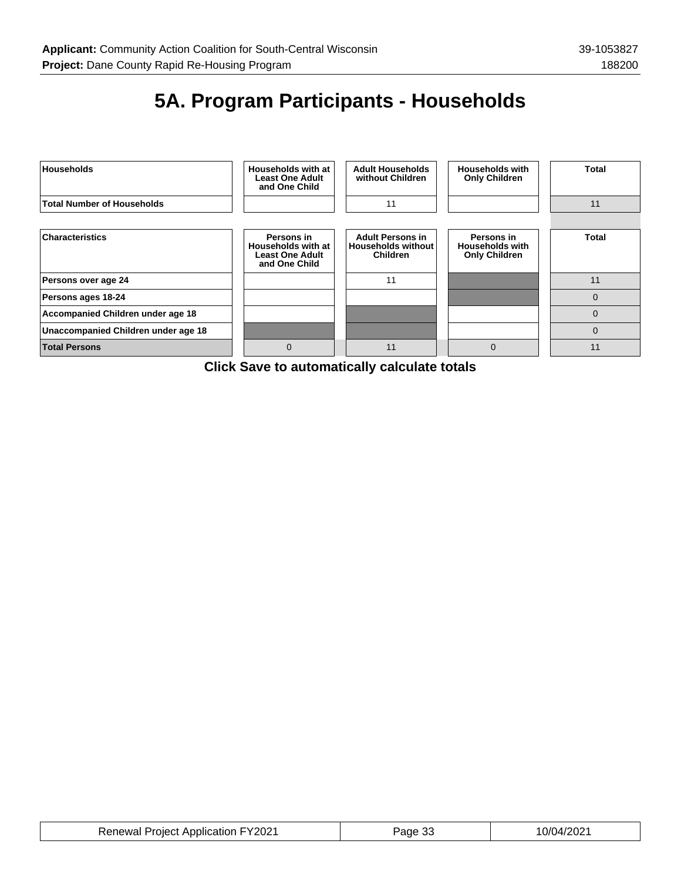# **5A. Program Participants - Households**



**Click Save to automatically calculate totals**

| <b>Renewal Project Application FY2021</b> | Page 33 | 10/04/2021 |
|-------------------------------------------|---------|------------|
|-------------------------------------------|---------|------------|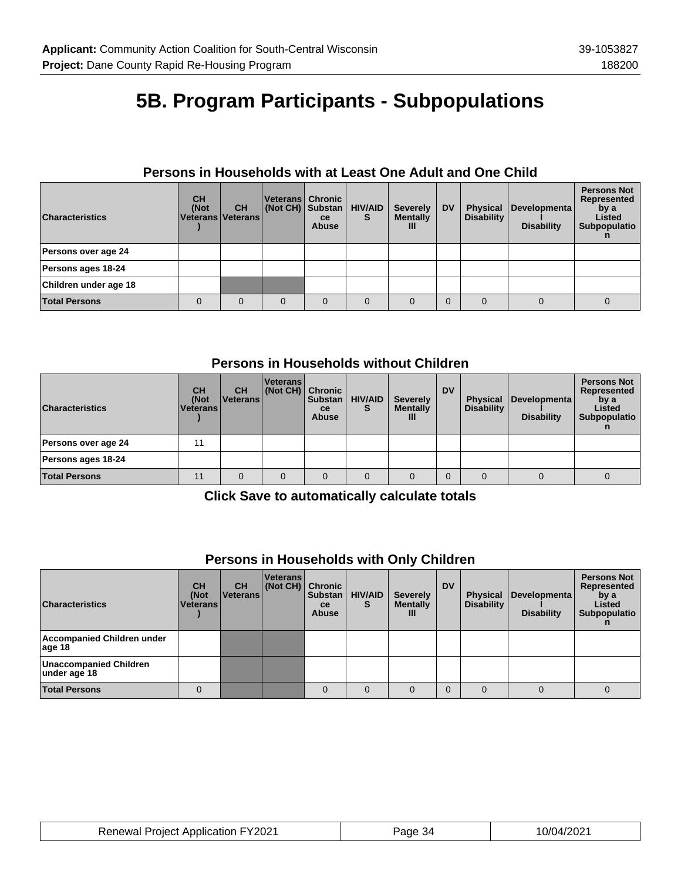# **5B. Program Participants - Subpopulations**

| <b>Characteristics</b> | <b>CH</b><br>(Not<br><i><b>Neterans</b></i> | <b>CH</b><br><b>Veterans</b> | Veterans  Chronic  <br>(Not CH) Substan | <b>ce</b><br><b>Abuse</b> | <b>HIV/AID</b><br>S | <b>Severely</b><br><b>Mentally</b><br>Ш | <b>DV</b> | <b>Physical</b><br><b>Disability</b> | Developmenta<br><b>Disability</b> | <b>Persons Not</b><br>Represented<br>by a<br>Listed<br>Subpopulatio |
|------------------------|---------------------------------------------|------------------------------|-----------------------------------------|---------------------------|---------------------|-----------------------------------------|-----------|--------------------------------------|-----------------------------------|---------------------------------------------------------------------|
| Persons over age 24    |                                             |                              |                                         |                           |                     |                                         |           |                                      |                                   |                                                                     |
| Persons ages 18-24     |                                             |                              |                                         |                           |                     |                                         |           |                                      |                                   |                                                                     |
| Children under age 18  |                                             |                              |                                         |                           |                     |                                         |           |                                      |                                   |                                                                     |
| <b>Total Persons</b>   | $\Omega$                                    |                              |                                         |                           | $\Omega$            | $\Omega$                                | $\Omega$  |                                      | $\Omega$                          |                                                                     |

## **Persons in Households with at Least One Adult and One Child**

## **Persons in Households without Children**

| <b>Characteristics</b> | <b>CH</b><br>(Not<br><b>Veterans</b> | <b>CH</b><br><b>∣Veterans</b> | <b>Veterans</b><br>(Not CH) Chronic | <b>Substan</b><br><b>ce</b><br><b>Abuse</b> | <b>HIV/AID</b><br>S | <b>Severely</b><br><b>Mentally</b><br>Ш | <b>DV</b> | <b>Disability</b> | Physical Developmenta<br><b>Disability</b> | <b>Persons Not</b><br>Represented<br>by a<br>Listed<br>Subpopulatio |
|------------------------|--------------------------------------|-------------------------------|-------------------------------------|---------------------------------------------|---------------------|-----------------------------------------|-----------|-------------------|--------------------------------------------|---------------------------------------------------------------------|
| Persons over age 24    | 11                                   |                               |                                     |                                             |                     |                                         |           |                   |                                            |                                                                     |
| Persons ages 18-24     |                                      |                               |                                     |                                             |                     |                                         |           |                   |                                            |                                                                     |
| <b>Total Persons</b>   | 11                                   |                               |                                     | $\Omega$                                    | $\Omega$            |                                         |           |                   |                                            | U                                                                   |

**Click Save to automatically calculate totals**

## **Persons in Households with Only Children**

| <b>Characteristics</b>                      | <b>CH</b><br>(Not<br><b>Veterans</b> | <b>CH</b><br>  Veterans | <b>Veterans</b><br>(Not CH) | <b>Chronic</b><br><b>Substan</b><br>ce<br>Abuse | <b>HIV/AID</b><br>s | <b>Severely</b><br><b>Mentally</b><br>ш | <b>DV</b> | <b>Physical</b><br><b>Disability</b> | Developmenta<br><b>Disability</b> | <b>Persons Not</b><br>Represented<br>by a<br>Listed<br>Subpopulatio |
|---------------------------------------------|--------------------------------------|-------------------------|-----------------------------|-------------------------------------------------|---------------------|-----------------------------------------|-----------|--------------------------------------|-----------------------------------|---------------------------------------------------------------------|
| <b>Accompanied Children under</b><br>age 18 |                                      |                         |                             |                                                 |                     |                                         |           |                                      |                                   |                                                                     |
| Unaccompanied Children<br>under age 18      |                                      |                         |                             |                                                 |                     |                                         |           |                                      |                                   |                                                                     |
| <b>Total Persons</b>                        |                                      |                         |                             | 0                                               |                     |                                         |           |                                      |                                   |                                                                     |

| <b>Renewal Project Application FY2021</b> | Page 34 | 10/04/2021 |
|-------------------------------------------|---------|------------|
|-------------------------------------------|---------|------------|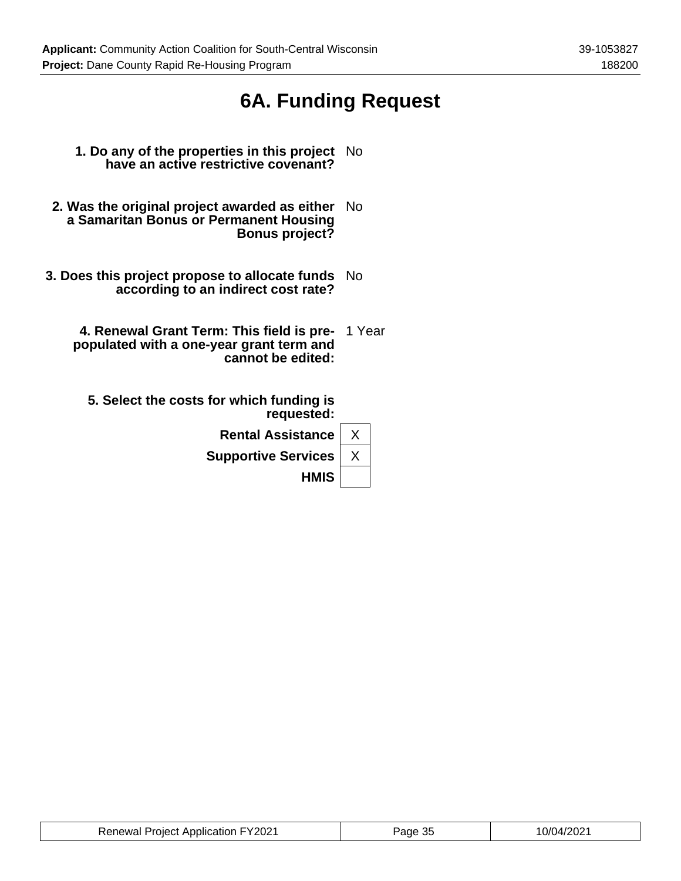# **6A. Funding Request**

- **1. Do any of the properties in this project have an active restrictive covenant?** No
- **2. Was the original project awarded as either** No **a Samaritan Bonus or Permanent Housing Bonus project?**
- **3. Does this project propose to allocate funds according to an indirect cost rate?** No
	- **4. Renewal Grant Term: This field is pre-**1 Year **populated with a one-year grant term and cannot be edited:**
		- **5. Select the costs for which funding is requested:**

| Rental Assistance   X               |  |
|-------------------------------------|--|
| Supportive Services $\mid$ $\times$ |  |
| HMIS                                |  |

| <b>Renewal Project Application FY2021</b> | ∽age  | .0/04/202 <sup>4</sup> |
|-------------------------------------------|-------|------------------------|
|                                           | - USA | .                      |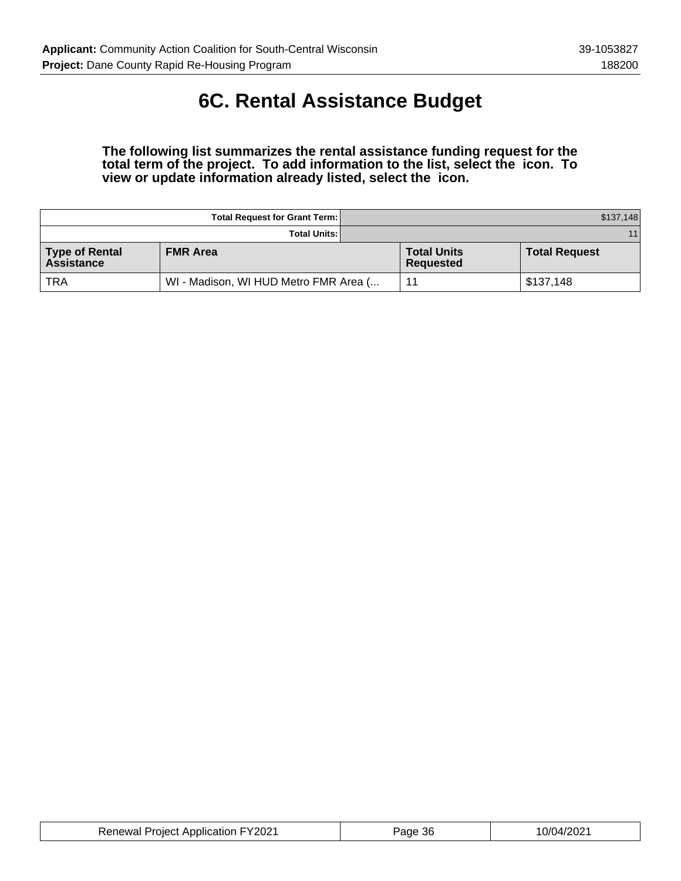# **6C. Rental Assistance Budget**

### **The following list summarizes the rental assistance funding request for the total term of the project. To add information to the list, select the icon. To view or update information already listed, select the icon.**

|                                     | <b>Total Request for Grant Term:</b>  |                                        | \$137,148            |
|-------------------------------------|---------------------------------------|----------------------------------------|----------------------|
|                                     | <b>Total Units:</b>                   |                                        | 11                   |
| Type of Rental<br><b>Assistance</b> | <b>FMR Area</b>                       | <b>Total Units</b><br><b>Requested</b> | <b>Total Request</b> |
| <b>TRA</b>                          | WI - Madison, WI HUD Metro FMR Area ( | 11                                     | \$137,148            |

| <b>Renewal Project Application FY2021</b> | Page 36 | 10/04/2021 |
|-------------------------------------------|---------|------------|
|-------------------------------------------|---------|------------|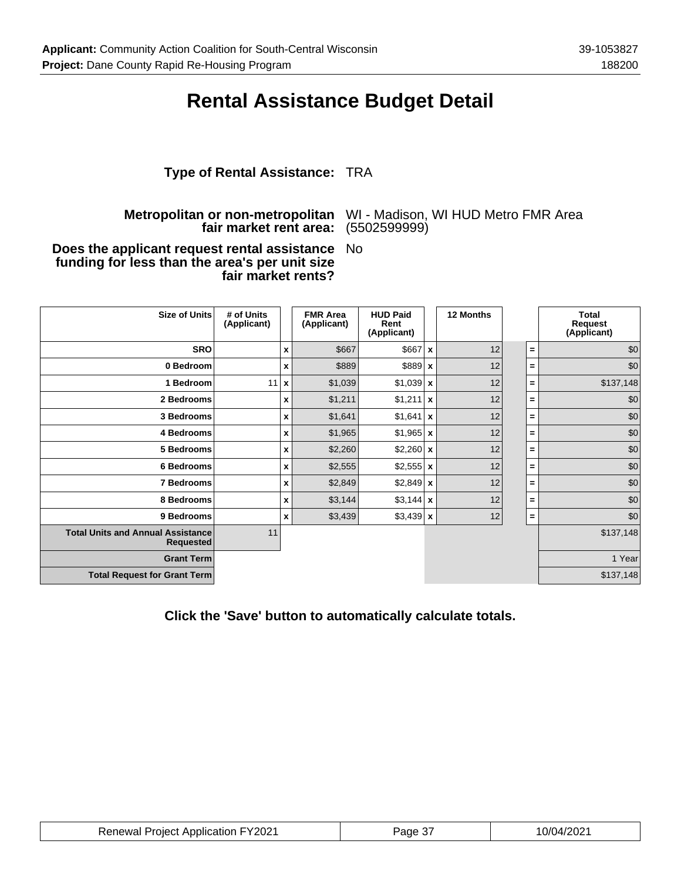## **Rental Assistance Budget Detail**

## **Type of Rental Assistance:** TRA

### **Metropolitan or non-metropolitan fair market rent area:**

WI - Madison, WI HUD Metro FMR Area (5502599999)

#### **Does the applicant request rental assistance funding for less than the area's per unit size fair market rents?** No

| <b>Size of Units</b>                                         | # of Units<br>(Applicant) |                  | <b>FMR Area</b><br>(Applicant) | <b>HUD Paid</b><br>Rent<br>(Applicant) | 12 Months |          | <b>Total</b><br><b>Request</b><br>(Applicant) |
|--------------------------------------------------------------|---------------------------|------------------|--------------------------------|----------------------------------------|-----------|----------|-----------------------------------------------|
| <b>SRO</b>                                                   |                           | $\boldsymbol{x}$ | \$667                          | $$667$ $\times$                        | 12        | Ξ.       | \$0                                           |
| 0 Bedroom                                                    |                           | $\mathbf{x}$     | \$889                          | $$889$ $x$                             | 12        | =        | \$0                                           |
| 1 Bedroom                                                    | 11                        | $\mathbf x$      | \$1,039                        | $$1,039$ x                             | 12        | Ξ.       | \$137,148                                     |
| 2 Bedrooms                                                   |                           | $\mathbf{x}$     | \$1,211                        | $$1,211$ x                             | 12        | =        | \$0                                           |
| 3 Bedrooms                                                   |                           | X                | \$1,641                        | $$1,641$ x                             | 12        | =        | \$0                                           |
| 4 Bedrooms                                                   |                           | X                | \$1,965                        | $$1,965$ $x$                           | 12        | =        | \$0                                           |
| 5 Bedrooms                                                   |                           | X                | \$2,260                        | $$2,260$ x                             | 12        | $=$      | \$0                                           |
| 6 Bedrooms                                                   |                           | $\boldsymbol{x}$ | \$2,555                        | $$2,555$ x                             | 12        | Ξ        | \$0                                           |
| 7 Bedrooms                                                   |                           | X                | \$2,849                        | $$2,849$ x                             | 12        | $=$      | \$0                                           |
| 8 Bedrooms                                                   |                           | $\boldsymbol{x}$ | \$3,144                        | $$3,144$ x                             | 12        | $\equiv$ | \$0                                           |
| 9 Bedrooms                                                   |                           | X                | \$3,439                        | $$3,439$ x                             | 12        | $=$      | \$0                                           |
| <b>Total Units and Annual Assistance</b><br><b>Requested</b> | 11                        |                  |                                |                                        |           |          | \$137,148                                     |
| <b>Grant Term</b>                                            |                           |                  |                                |                                        |           |          | 1 Year                                        |
| <b>Total Request for Grant Term</b>                          |                           |                  |                                |                                        |           |          | \$137,148                                     |

**Click the 'Save' button to automatically calculate totals.**

| <b>Renewal Project Application FY2021</b> | aqe | 10/04/2021 |
|-------------------------------------------|-----|------------|
|-------------------------------------------|-----|------------|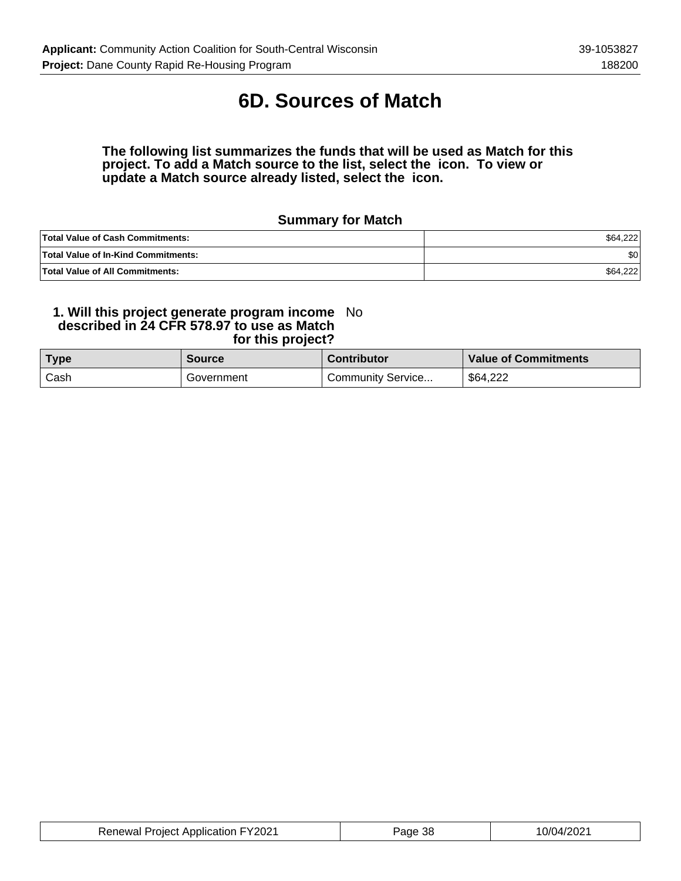# **6D. Sources of Match**

### **The following list summarizes the funds that will be used as Match for this project. To add a Match source to the list, select the icon. To view or update a Match source already listed, select the icon.**

## **Summary for Match**

| <b>Total Value of Cash Commitments:</b>    | \$64.222 |
|--------------------------------------------|----------|
| <b>Total Value of In-Kind Commitments:</b> | \$0      |
| <b>Total Value of All Commitments:</b>     | \$64.222 |

#### **1. Will this project generate program income described in 24 CFR 578.97 to use as Match for this project?** No

| <b>Type</b> | <b>Source</b> | <b>Contributor</b> | <b>Value of Commitments</b> |
|-------------|---------------|--------------------|-----------------------------|
| Cash        | Government    | Community Service  | \$64,222                    |

| <b>Renewal Project Application FY2021</b> | Page 38 | 10/04/2021 |
|-------------------------------------------|---------|------------|
|-------------------------------------------|---------|------------|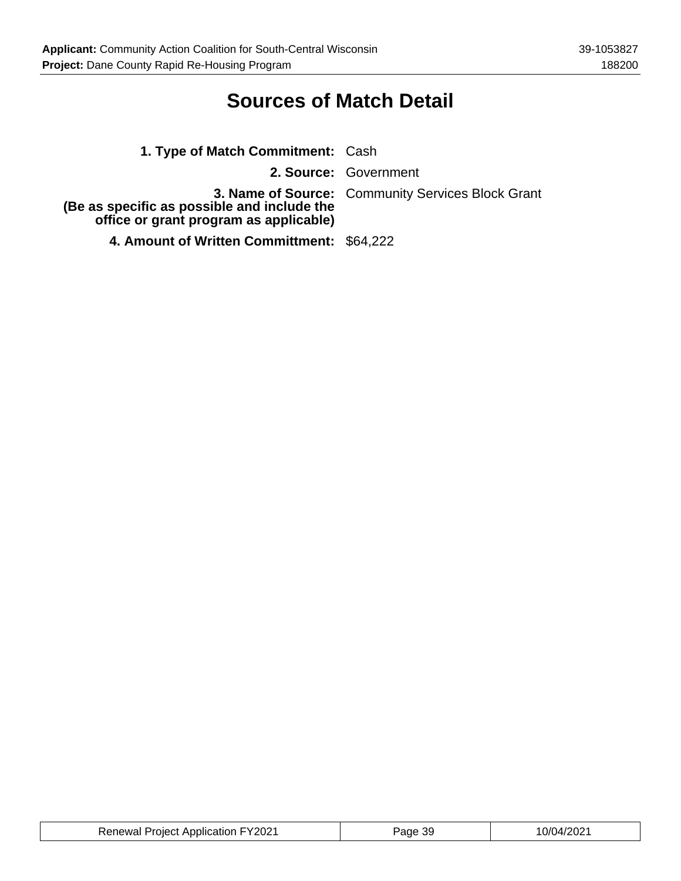# **Sources of Match Detail**

| 1. Type of Match Commitment: Cash                                                     |                                                          |
|---------------------------------------------------------------------------------------|----------------------------------------------------------|
|                                                                                       | 2. Source: Government                                    |
| (Be as specific as possible and include the<br>office or grant program as applicable) | <b>3. Name of Source:</b> Community Services Block Grant |
| 4. Amount of Written Committment: \$64,222                                            |                                                          |

| <b>Renewal Project Application FY2021</b> | Page 39 | 10/04/2021 |
|-------------------------------------------|---------|------------|
|-------------------------------------------|---------|------------|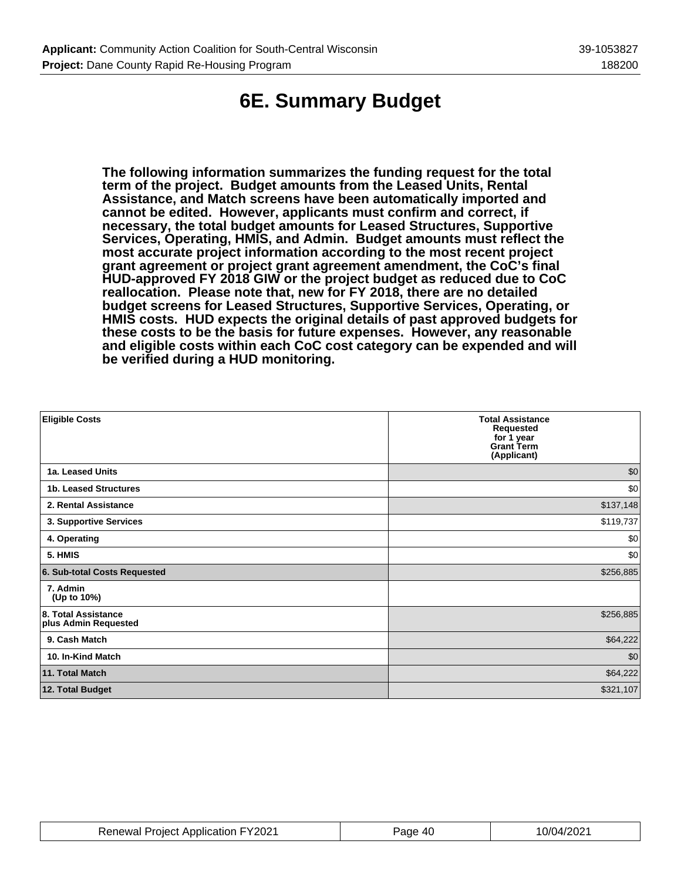# **6E. Summary Budget**

**The following information summarizes the funding request for the total term of the project. Budget amounts from the Leased Units, Rental Assistance, and Match screens have been automatically imported and cannot be edited. However, applicants must confirm and correct, if necessary, the total budget amounts for Leased Structures, Supportive Services, Operating, HMIS, and Admin. Budget amounts must reflect the most accurate project information according to the most recent project grant agreement or project grant agreement amendment, the CoC's final HUD-approved FY 2018 GIW or the project budget as reduced due to CoC reallocation. Please note that, new for FY 2018, there are no detailed budget screens for Leased Structures, Supportive Services, Operating, or HMIS costs. HUD expects the original details of past approved budgets for these costs to be the basis for future expenses. However, any reasonable and eligible costs within each CoC cost category can be expended and will be verified during a HUD monitoring.**

| <b>Eligible Costs</b>                       | <b>Total Assistance</b><br>Requested<br>for 1 year<br><b>Grant Term</b><br>(Applicant) |
|---------------------------------------------|----------------------------------------------------------------------------------------|
| 1a. Leased Units                            | \$0                                                                                    |
| 1b. Leased Structures                       | \$0                                                                                    |
| 2. Rental Assistance                        | \$137,148                                                                              |
| 3. Supportive Services                      | \$119,737                                                                              |
| 4. Operating                                | \$0                                                                                    |
| 5. HMIS                                     | \$0                                                                                    |
| 6. Sub-total Costs Requested                | \$256,885                                                                              |
| 7. Admin<br>(Up to 10%)                     |                                                                                        |
| 8. Total Assistance<br>plus Admin Requested | \$256,885                                                                              |
| 9. Cash Match                               | \$64,222                                                                               |
| 10. In-Kind Match                           | \$0                                                                                    |
| 11. Total Match                             | \$64,222                                                                               |
| 12. Total Budget                            | \$321,107                                                                              |

| <b>Renewal Project Application FY2021</b> | Page 40 | 10/04/2021 |
|-------------------------------------------|---------|------------|
|-------------------------------------------|---------|------------|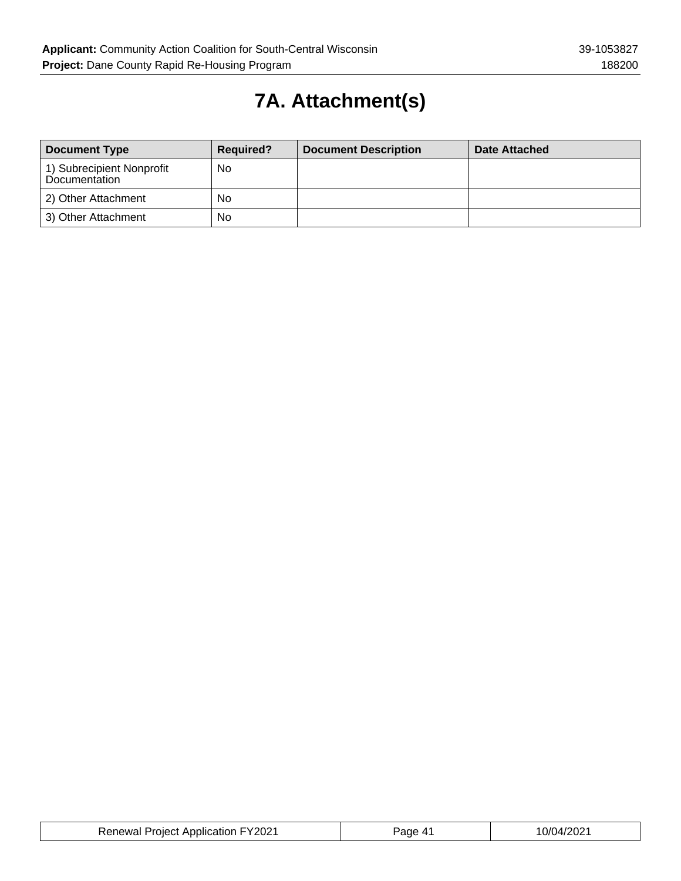# **7A. Attachment(s)**

| <b>Document Type</b>                       | <b>Required?</b> | <b>Document Description</b> | Date Attached |
|--------------------------------------------|------------------|-----------------------------|---------------|
| 1) Subrecipient Nonprofit<br>Documentation | No               |                             |               |
| 2) Other Attachment                        | No               |                             |               |
| 3) Other Attachment                        | No               |                             |               |

| <b>Renewal Project Application FY2021</b> | Page 41 | 10/04/2021 |
|-------------------------------------------|---------|------------|
|-------------------------------------------|---------|------------|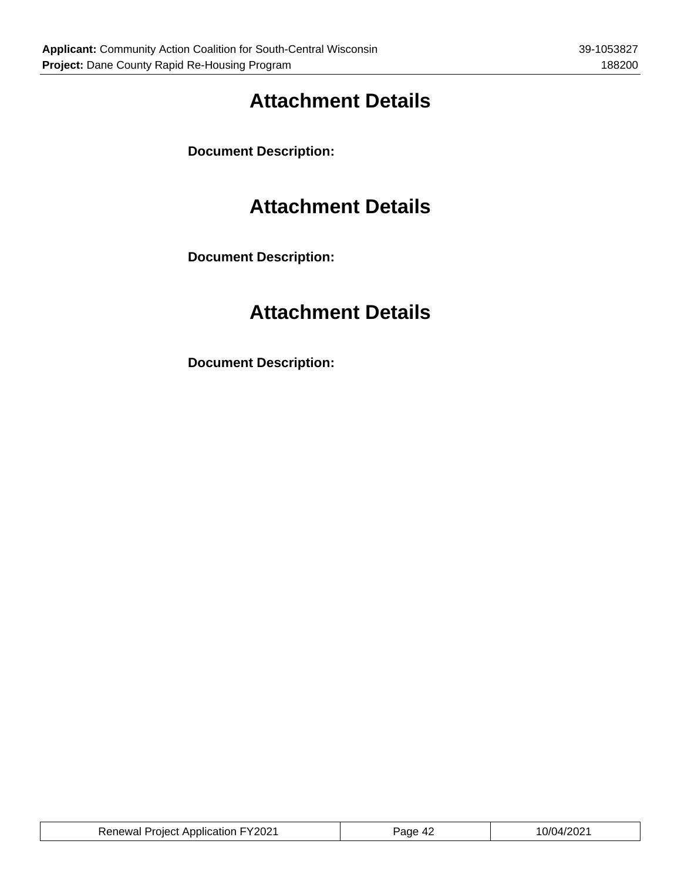# **Attachment Details**

**Document Description:**

# **Attachment Details**

**Document Description:**

# **Attachment Details**

**Document Description:**

| <b>Renewal Project Application FY2021</b> | Page 42 | 10/04/2021 |
|-------------------------------------------|---------|------------|
|                                           |         |            |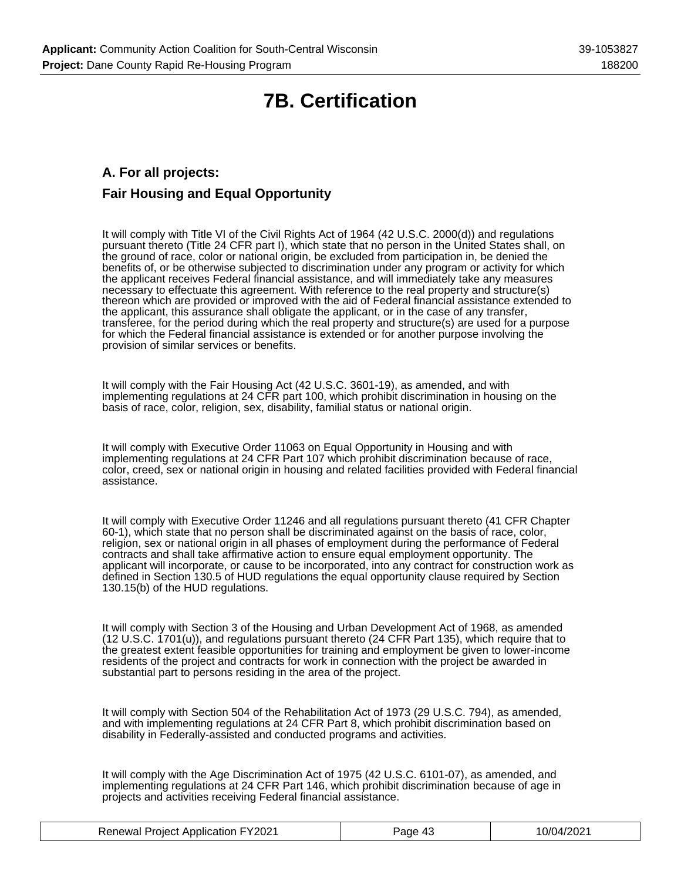# **7B. Certification**

## **A. For all projects: Fair Housing and Equal Opportunity**

It will comply with Title VI of the Civil Rights Act of 1964 (42 U.S.C. 2000(d)) and regulations pursuant thereto (Title 24 CFR part I), which state that no person in the United States shall, on the ground of race, color or national origin, be excluded from participation in, be denied the benefits of, or be otherwise subjected to discrimination under any program or activity for which the applicant receives Federal financial assistance, and will immediately take any measures necessary to effectuate this agreement. With reference to the real property and structure(s) thereon which are provided or improved with the aid of Federal financial assistance extended to the applicant, this assurance shall obligate the applicant, or in the case of any transfer, transferee, for the period during which the real property and structure(s) are used for a purpose for which the Federal financial assistance is extended or for another purpose involving the provision of similar services or benefits.

It will comply with the Fair Housing Act (42 U.S.C. 3601-19), as amended, and with implementing regulations at 24 CFR part 100, which prohibit discrimination in housing on the basis of race, color, religion, sex, disability, familial status or national origin.

It will comply with Executive Order 11063 on Equal Opportunity in Housing and with implementing regulations at 24 CFR Part 107 which prohibit discrimination because of race, color, creed, sex or national origin in housing and related facilities provided with Federal financial assistance.

It will comply with Executive Order 11246 and all regulations pursuant thereto (41 CFR Chapter 60-1), which state that no person shall be discriminated against on the basis of race, color, religion, sex or national origin in all phases of employment during the performance of Federal contracts and shall take affirmative action to ensure equal employment opportunity. The applicant will incorporate, or cause to be incorporated, into any contract for construction work as defined in Section 130.5 of HUD regulations the equal opportunity clause required by Section 130.15(b) of the HUD regulations.

It will comply with Section 3 of the Housing and Urban Development Act of 1968, as amended (12 U.S.C. 1701(u)), and regulations pursuant thereto (24 CFR Part 135), which require that to the greatest extent feasible opportunities for training and employment be given to lower-income residents of the project and contracts for work in connection with the project be awarded in substantial part to persons residing in the area of the project.

It will comply with Section 504 of the Rehabilitation Act of 1973 (29 U.S.C. 794), as amended, and with implementing regulations at 24 CFR Part 8, which prohibit discrimination based on disability in Federally-assisted and conducted programs and activities.

It will comply with the Age Discrimination Act of 1975 (42 U.S.C. 6101-07), as amended, and implementing regulations at 24 CFR Part 146, which prohibit discrimination because of age in projects and activities receiving Federal financial assistance.

| <b>Renewal Project Application FY2021</b><br>Page 43 | 10/04/2021 |
|------------------------------------------------------|------------|
|------------------------------------------------------|------------|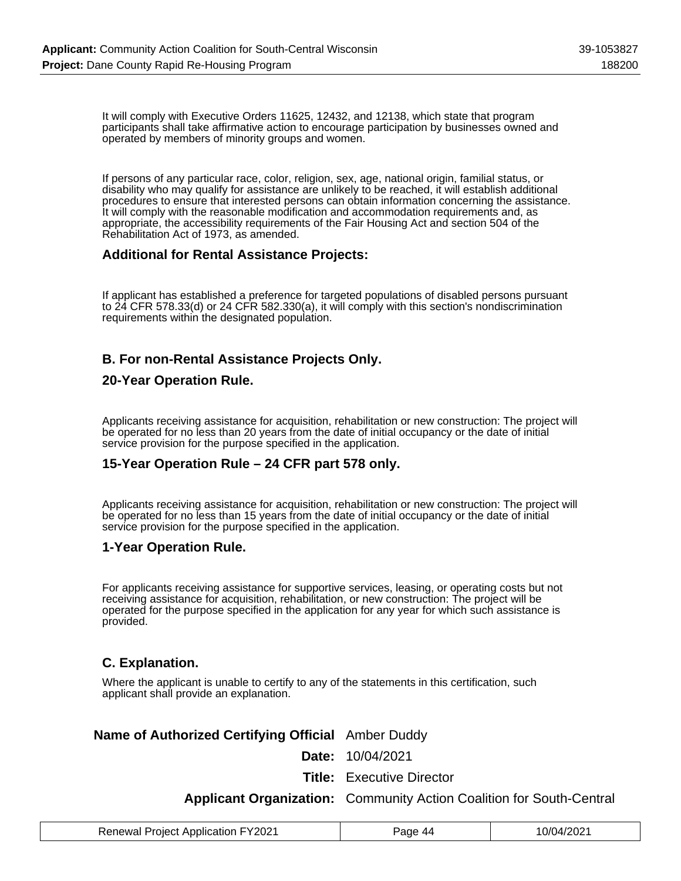It will comply with Executive Orders 11625, 12432, and 12138, which state that program participants shall take affirmative action to encourage participation by businesses owned and operated by members of minority groups and women.

If persons of any particular race, color, religion, sex, age, national origin, familial status, or disability who may qualify for assistance are unlikely to be reached, it will establish additional procedures to ensure that interested persons can obtain information concerning the assistance. It will comply with the reasonable modification and accommodation requirements and, as appropriate, the accessibility requirements of the Fair Housing Act and section 504 of the Rehabilitation Act of 1973, as amended.

## **Additional for Rental Assistance Projects:**

If applicant has established a preference for targeted populations of disabled persons pursuant to 24 CFR 578.33(d) or 24 CFR 582.330(a), it will comply with this section's nondiscrimination requirements within the designated population.

## **B. For non-Rental Assistance Projects Only.**

### **20-Year Operation Rule.**

Applicants receiving assistance for acquisition, rehabilitation or new construction: The project will be operated for no less than 20 years from the date of initial occupancy or the date of initial service provision for the purpose specified in the application.

## **15-Year Operation Rule – 24 CFR part 578 only.**

Applicants receiving assistance for acquisition, rehabilitation or new construction: The project will be operated for no less than 15 years from the date of initial occupancy or the date of initial service provision for the purpose specified in the application.

### **1-Year Operation Rule.**

For applicants receiving assistance for supportive services, leasing, or operating costs but not receiving assistance for acquisition, rehabilitation, or new construction: The project will be operated for the purpose specified in the application for any year for which such assistance is provided.

### **C. Explanation.**

Where the applicant is unable to certify to any of the statements in this certification, such applicant shall provide an explanation.

## **Name of Authorized Certifying Official** Amber Duddy

**Date:** 10/04/2021

**Title:** Executive Director

### **Applicant Organization:** Community Action Coalition for South-Central

| <b>Renewal Project Application FY2021</b> | Page 44 | 10/04/2021 |
|-------------------------------------------|---------|------------|
|-------------------------------------------|---------|------------|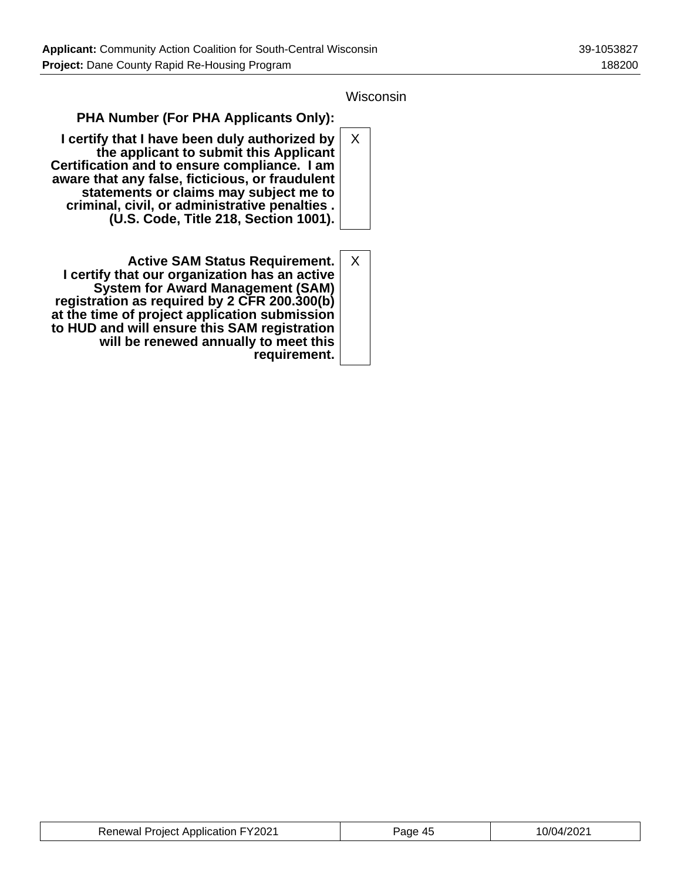## Wisconsin

## **PHA Number (For PHA Applicants Only):**

- **I certify that I have been duly authorized by the applicant to submit this Applicant Certification and to ensure compliance. I am aware that any false, ficticious, or fraudulent statements or claims may subject me to criminal, civil, or administrative penalties . (U.S. Code, Title 218, Section 1001).** X
- **Active SAM Status Requirement. I certify that our organization has an active System for Award Management (SAM) registration as required by 2 CFR 200.300(b) at the time of project application submission to HUD and will ensure this SAM registration will be renewed annually to meet this requirement.** X

| <b>Renewal Project Application FY2021</b> | Page 45 | 10/04/2021 |
|-------------------------------------------|---------|------------|
|-------------------------------------------|---------|------------|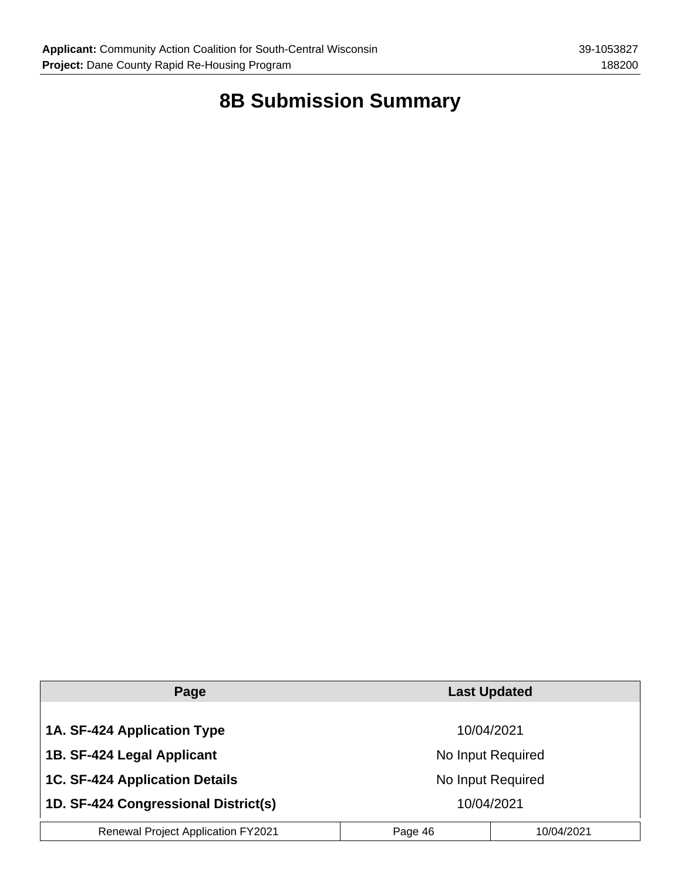# **8B Submission Summary**

| Page                                      | <b>Last Updated</b> |            |  |
|-------------------------------------------|---------------------|------------|--|
|                                           |                     |            |  |
| 1A. SF-424 Application Type               | 10/04/2021          |            |  |
| 1B. SF-424 Legal Applicant                | No Input Required   |            |  |
| <b>1C. SF-424 Application Details</b>     | No Input Required   |            |  |
| 1D. SF-424 Congressional District(s)      | 10/04/2021          |            |  |
| <b>Renewal Project Application FY2021</b> | Page 46             | 10/04/2021 |  |